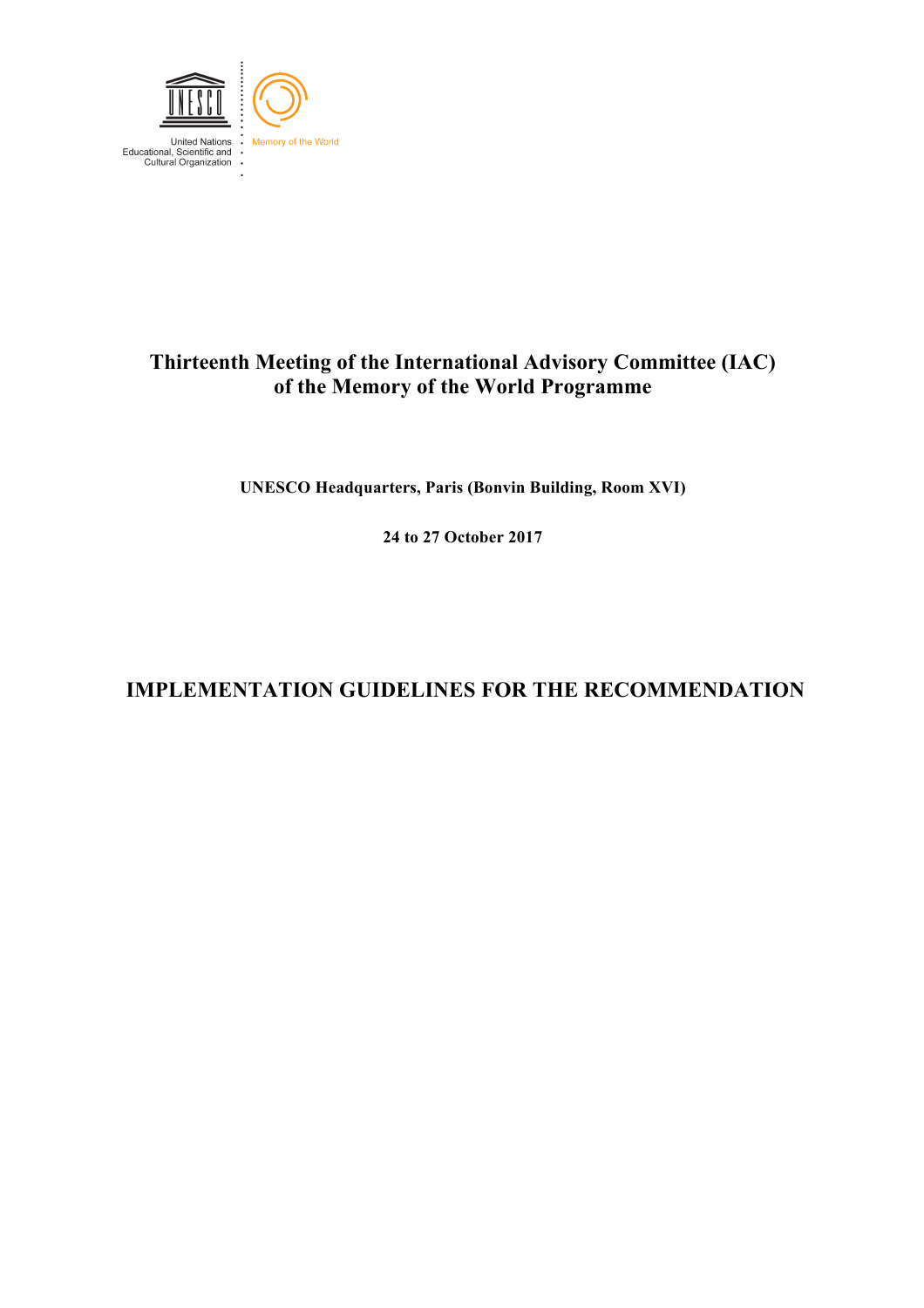

## **Thirteenth Meeting of the International Advisory Committee (IAC) of the Memory of the World Programme**

**UNESCO Headquarters, Paris (Bonvin Building, Room XVI)**

**24 to 27 October 2017**

# **IMPLEMENTATION GUIDELINES FOR THE RECOMMENDATION**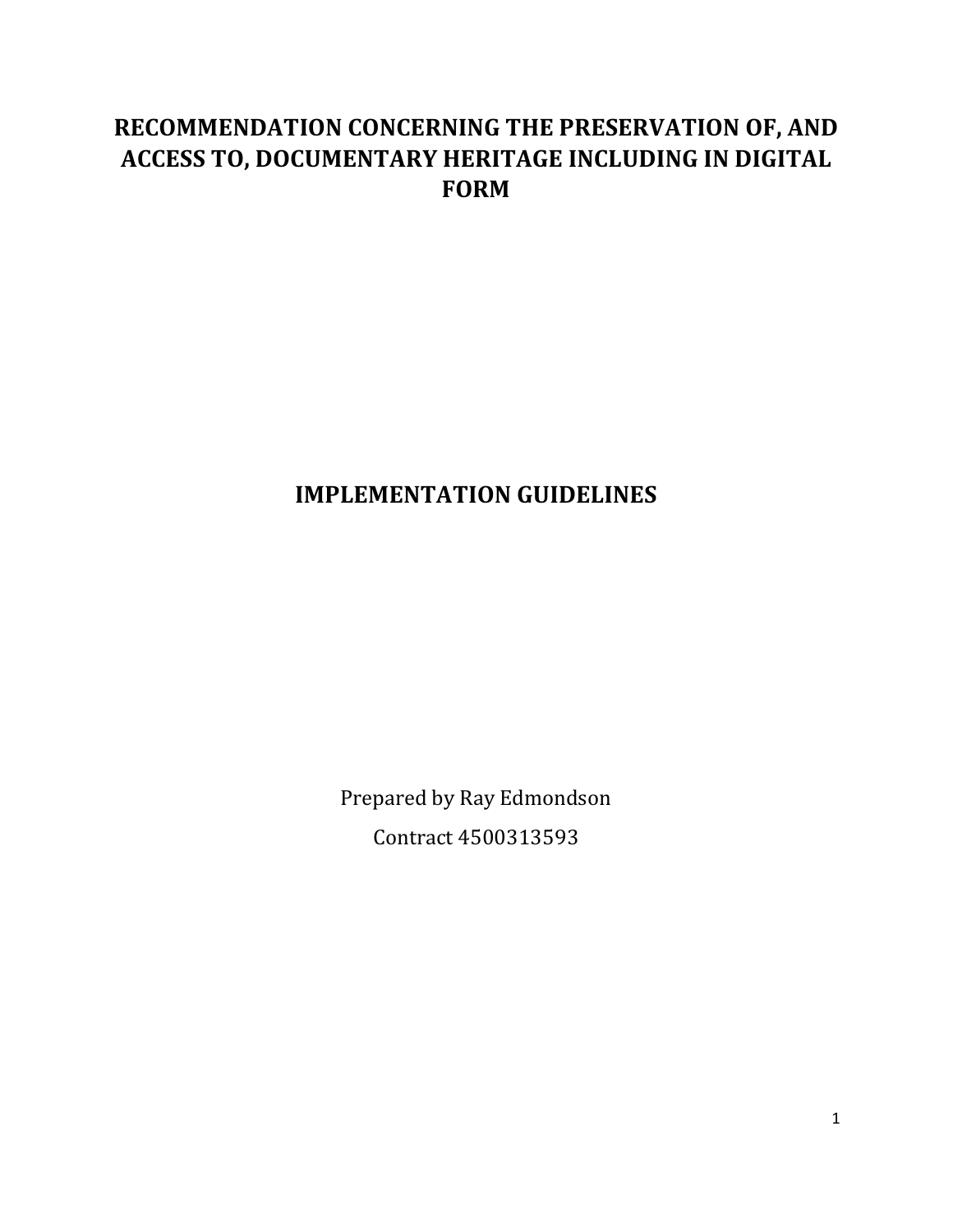# **RECOMMENDATION CONCERNING THE PRESERVATION OF, AND ACCESS TO, DOCUMENTARY HERITAGE INCLUDING IN DIGITAL FORM**

# **IMPLEMENTATION GUIDELINES**

Prepared by Ray Edmondson Contract 4500313593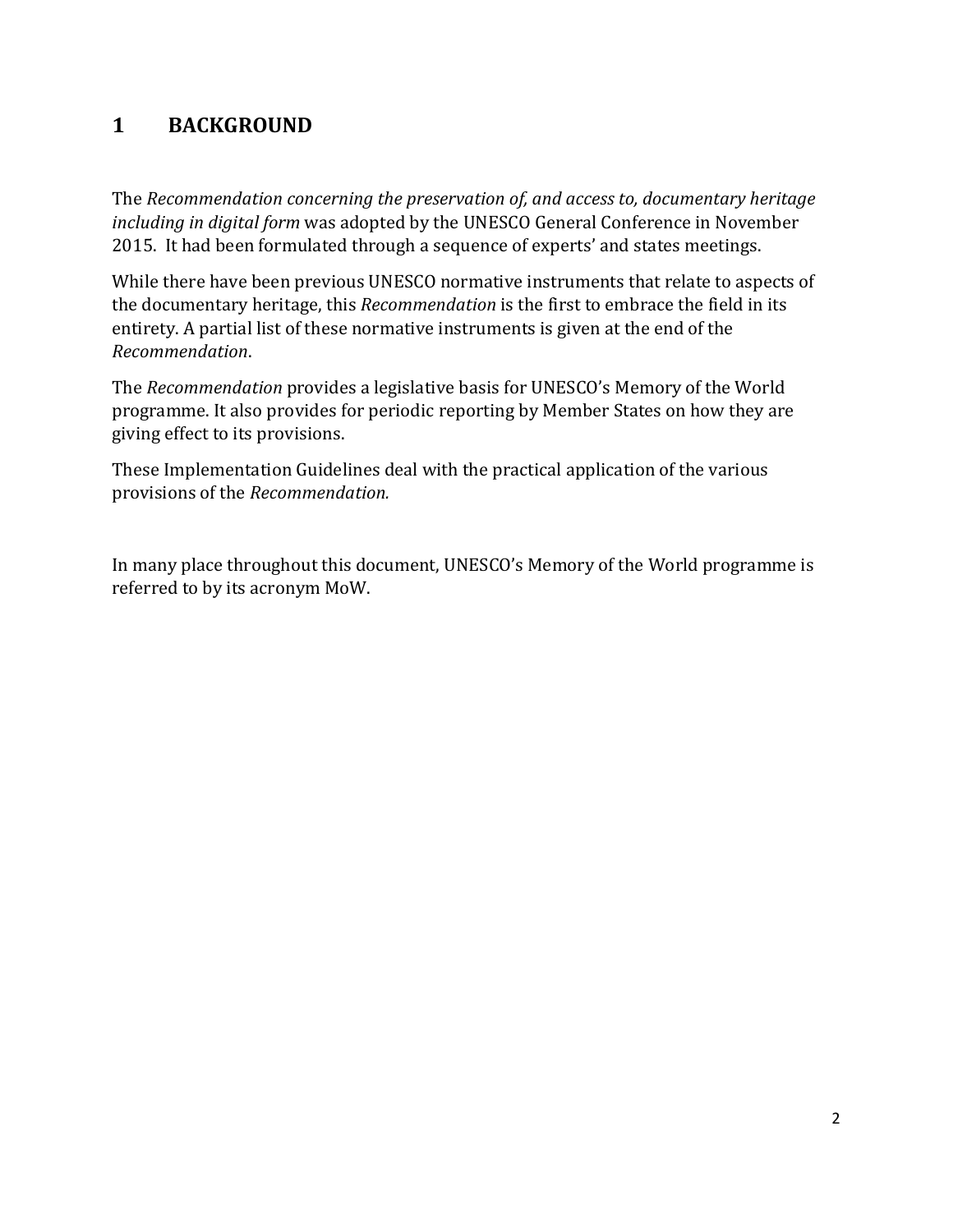## **1 BACKGROUND**

The *Recommendation concerning the preservation of, and access to, documentary heritage including in digital form* was adopted by the UNESCO General Conference in November 2015. It had been formulated through a sequence of experts' and states meetings.

While there have been previous UNESCO normative instruments that relate to aspects of the documentary heritage, this *Recommendation* is the first to embrace the field in its entirety. A partial list of these normative instruments is given at the end of the *Recommendation*.

The *Recommendation* provides a legislative basis for UNESCO's Memory of the World programme. It also provides for periodic reporting by Member States on how they are giving effect to its provisions.

These Implementation Guidelines deal with the practical application of the various provisions of the *Recommendation.*

In many place throughout this document, UNESCO's Memory of the World programme is referred to by its acronym MoW.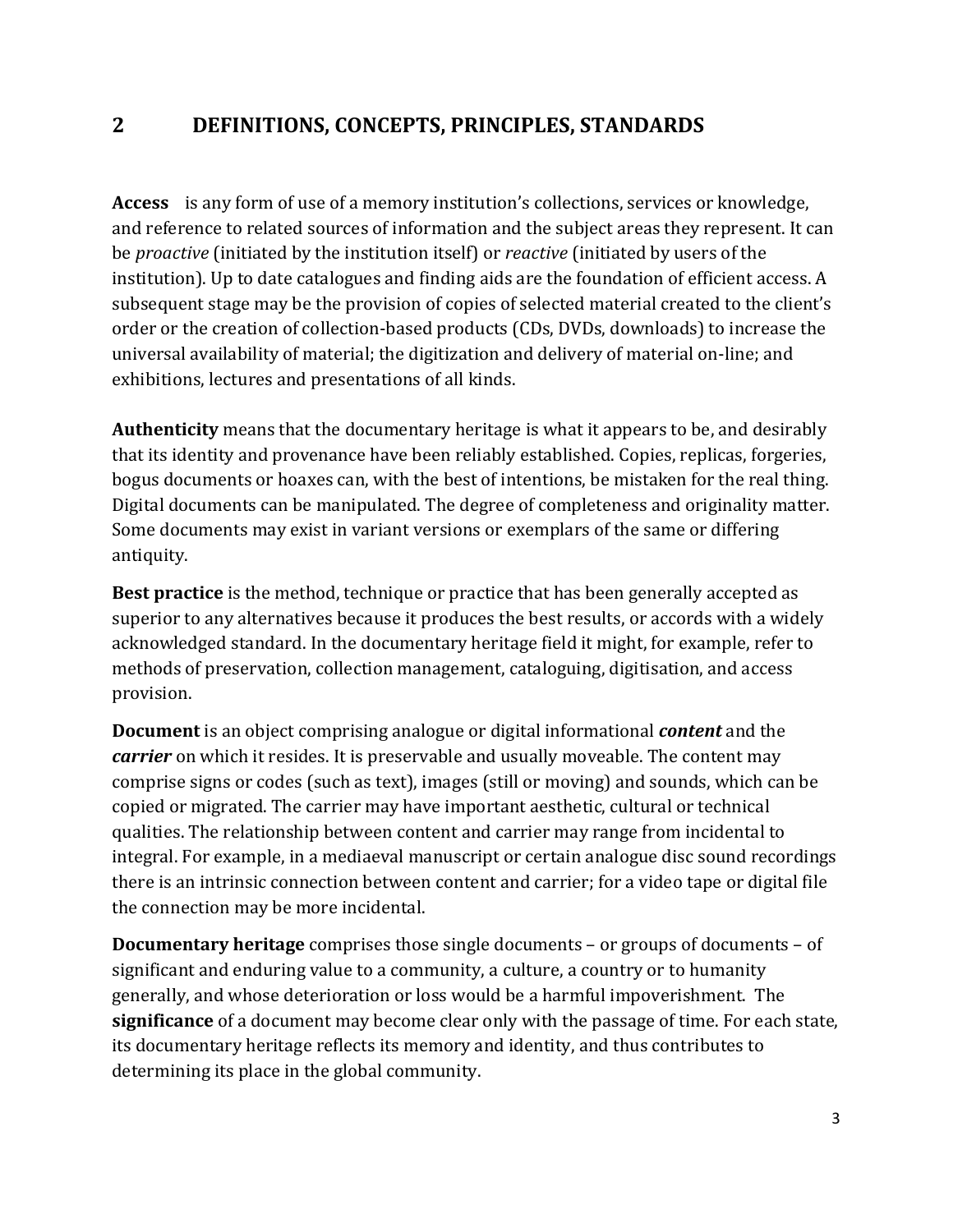### **2 DEFINITIONS, CONCEPTS, PRINCIPLES, STANDARDS**

**Access** is any form of use of a memory institution's collections, services or knowledge, and reference to related sources of information and the subject areas they represent. It can be *proactive* (initiated by the institution itself) or *reactive* (initiated by users of the institution). Up to date catalogues and finding aids are the foundation of efficient access. A subsequent stage may be the provision of copies of selected material created to the client's order or the creation of collection-based products (CDs, DVDs, downloads) to increase the universal availability of material; the digitization and delivery of material on-line; and exhibitions, lectures and presentations of all kinds.

**Authenticity** means that the documentary heritage is what it appears to be, and desirably that its identity and provenance have been reliably established. Copies, replicas, forgeries, bogus documents or hoaxes can, with the best of intentions, be mistaken for the real thing. Digital documents can be manipulated. The degree of completeness and originality matter. Some documents may exist in variant versions or exemplars of the same or differing antiquity.

**Best practice** is the method, technique or practice that has been generally accepted as superior to any alternatives because it produces the best results, or accords with a widely acknowledged standard. In the documentary heritage field it might, for example, refer to methods of preservation, collection management, cataloguing, digitisation, and access provision.

**Document** is an object comprising analogue or digital informational *content* and the *carrier* on which it resides. It is preservable and usually moveable. The content may comprise signs or codes (such as text), images (still or moving) and sounds, which can be copied or migrated. The carrier may have important aesthetic, cultural or technical qualities. The relationship between content and carrier may range from incidental to integral. For example, in a mediaeval manuscript or certain analogue disc sound recordings there is an intrinsic connection between content and carrier; for a video tape or digital file the connection may be more incidental.

**Documentary heritage** comprises those single documents – or groups of documents – of significant and enduring value to a community, a culture, a country or to humanity generally, and whose deterioration or loss would be a harmful impoverishment.The **significance** of a document may become clear only with the passage of time. For each state, its documentary heritage reflects its memory and identity, and thus contributes to determining its place in the global community.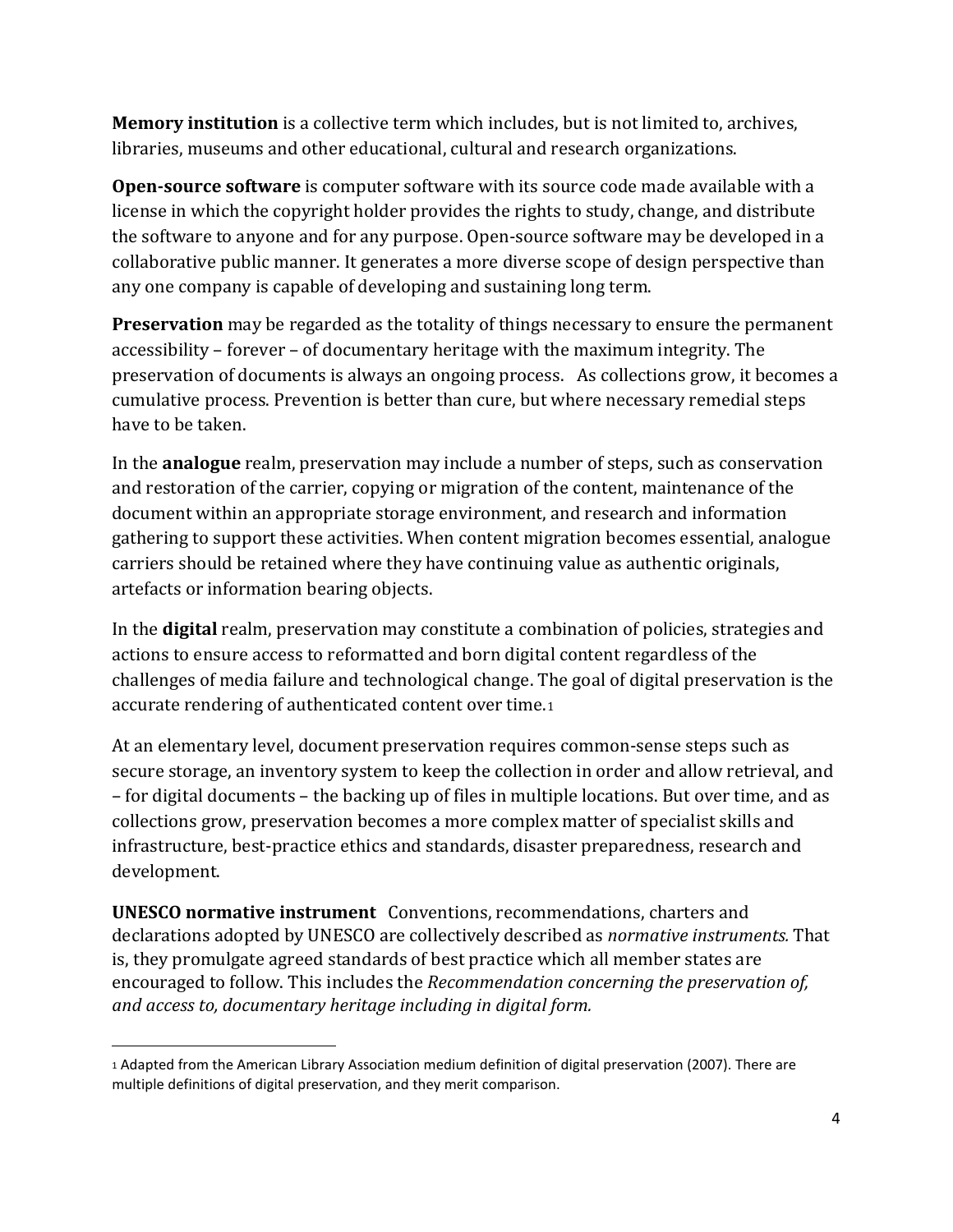**Memory institution** is a collective term which includes, but is not limited to, archives, libraries, museums and other educational, cultural and research organizations.

**Open-source software** is [computer software](https://en.wikipedia.org/wiki/Computer_software) with it[s source code](https://en.wikipedia.org/wiki/Source_code) made available with a [license](https://en.wikipedia.org/wiki/Open-source_license) in which th[e copyright](https://en.wikipedia.org/wiki/Copyright) holder provides the rights to study, change, and distribute the software to anyone and for any purpose. Open-source software may be developed in a [collaborative public manner.](https://en.wikipedia.org/wiki/Collaborative_software_development_model) It generates a more diverse scope of design perspective than any one company is capable of developing and sustaining long term.

**Preservation** may be regarded as the totality of things necessary to ensure the permanent accessibility – forever – of documentary heritage with the maximum integrity. The preservation of documents is always an ongoing process. As collections grow, it becomes a cumulative process. Prevention is better than cure, but where necessary remedial steps have to be taken.

In the **analogue** realm, preservation may include a number of steps, such as conservation and restoration of the carrier, copying or migration of the content, maintenance of the document within an appropriate storage environment, and research and information gathering to support these activities. When content migration becomes essential, analogue carriers should be retained where they have continuing value as authentic originals, artefacts or information bearing objects.

In the **digital** realm, preservation may constitute a combination of policies, strategies and actions to ensure access to reformatted and born digital content regardless of the challenges of media failure and technological change. The goal of digital preservation is the accurate rendering of authenticated content over time.[1](#page-4-0)

At an elementary level, document preservation requires common-sense steps such as secure storage, an inventory system to keep the collection in order and allow retrieval, and – for digital documents – the backing up of files in multiple locations. But over time, and as collections grow, preservation becomes a more complex matter of specialist skills and infrastructure, best-practice ethics and standards, disaster preparedness, research and development.

**UNESCO normative instrument** Conventions, recommendations, charters and declarations adopted by UNESCO are collectively described as *normative instruments.* That is, they promulgate agreed standards of best practice which all member states are encouraged to follow. This includes the *Recommendation concerning the preservation of, and access to, documentary heritage including in digital form.*

 $\overline{\phantom{a}}$ 

<span id="page-4-0"></span><sup>1</sup> Adapted from the American Library Association medium definition of digital preservation (2007). There are multiple definitions of digital preservation, and they merit comparison.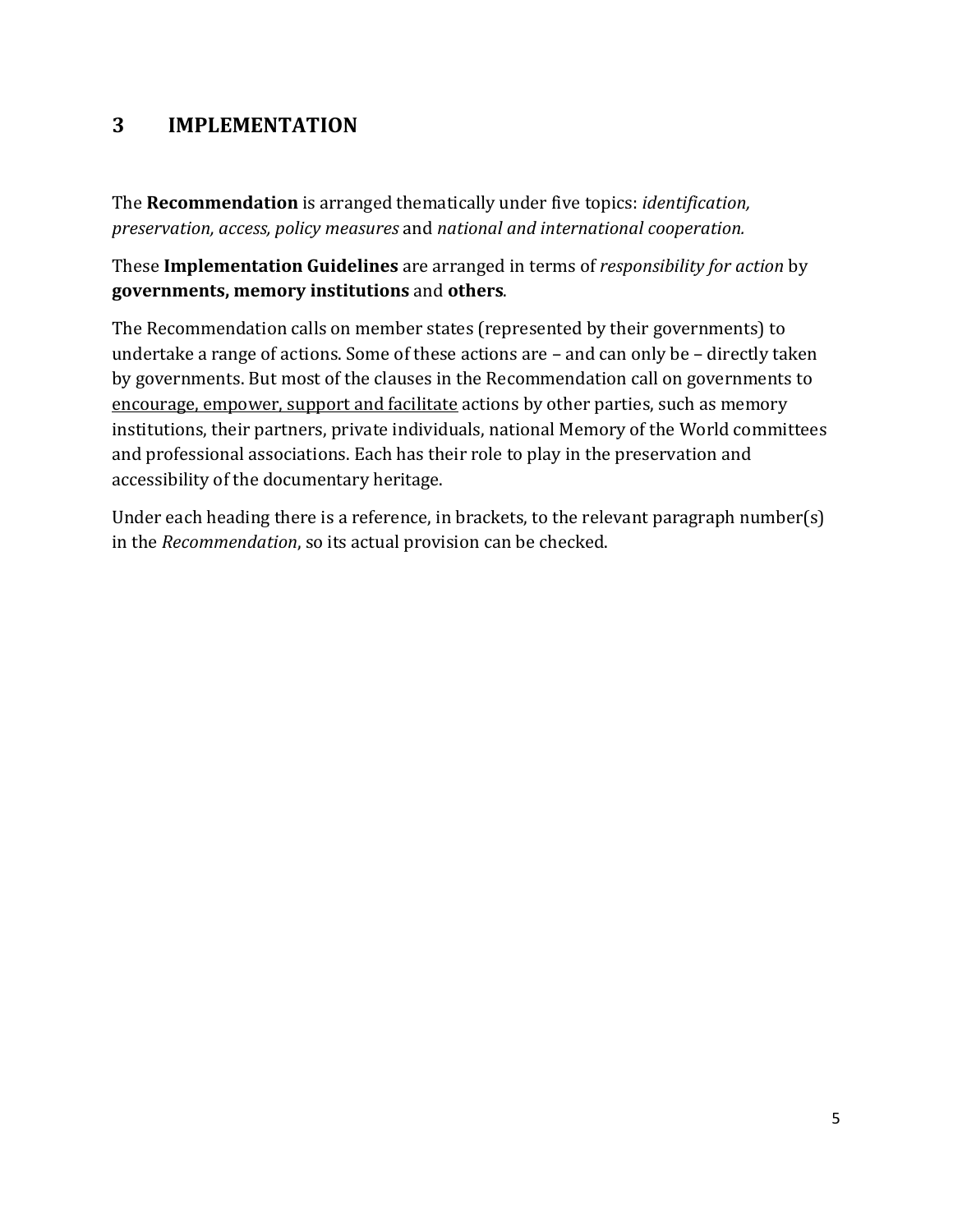## **3 IMPLEMENTATION**

The **Recommendation** is arranged thematically under five topics: *identification, preservation, access, policy measures* and *national and international cooperation.*

These **Implementation Guidelines** are arranged in terms of *responsibility for action* by **governments, memory institutions** and **others**.

The Recommendation calls on member states (represented by their governments) to undertake a range of actions. Some of these actions are – and can only be – directly taken by governments. But most of the clauses in the Recommendation call on governments to encourage, empower, support and facilitate actions by other parties, such as memory institutions, their partners, private individuals, national Memory of the World committees and professional associations. Each has their role to play in the preservation and accessibility of the documentary heritage.

Under each heading there is a reference, in brackets, to the relevant paragraph number(s) in the *Recommendation*, so its actual provision can be checked.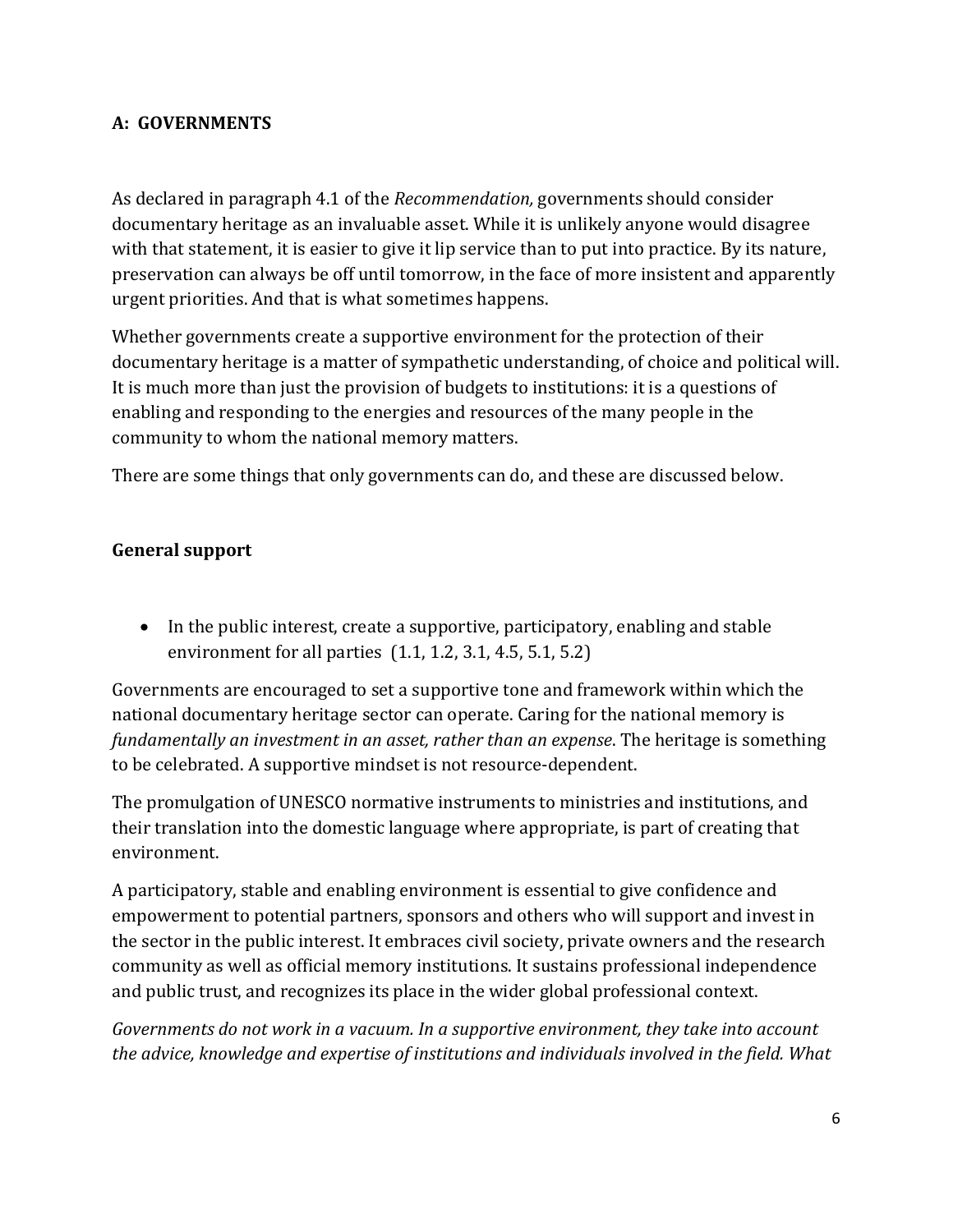#### **A: GOVERNMENTS**

As declared in paragraph 4.1 of the *Recommendation,* governments should consider documentary heritage as an invaluable asset. While it is unlikely anyone would disagree with that statement, it is easier to give it lip service than to put into practice. By its nature, preservation can always be off until tomorrow, in the face of more insistent and apparently urgent priorities. And that is what sometimes happens.

Whether governments create a supportive environment for the protection of their documentary heritage is a matter of sympathetic understanding, of choice and political will. It is much more than just the provision of budgets to institutions: it is a questions of enabling and responding to the energies and resources of the many people in the community to whom the national memory matters.

There are some things that only governments can do, and these are discussed below.

#### **General support**

• In the public interest, create a supportive, participatory, enabling and stable environment for all parties (1.1, 1.2, 3.1, 4.5, 5.1, 5.2)

Governments are encouraged to set a supportive tone and framework within which the national documentary heritage sector can operate. Caring for the national memory is *fundamentally an investment in an asset, rather than an expense*. The heritage is something to be celebrated. A supportive mindset is not resource-dependent.

The promulgation of UNESCO normative instruments to ministries and institutions, and their translation into the domestic language where appropriate, is part of creating that environment.

A participatory, stable and enabling environment is essential to give confidence and empowerment to potential partners, sponsors and others who will support and invest in the sector in the public interest. It embraces civil society, private owners and the research community as well as official memory institutions. It sustains professional independence and public trust, and recognizes its place in the wider global professional context.

*Governments do not work in a vacuum. In a supportive environment, they take into account the advice, knowledge and expertise of institutions and individuals involved in the field. What*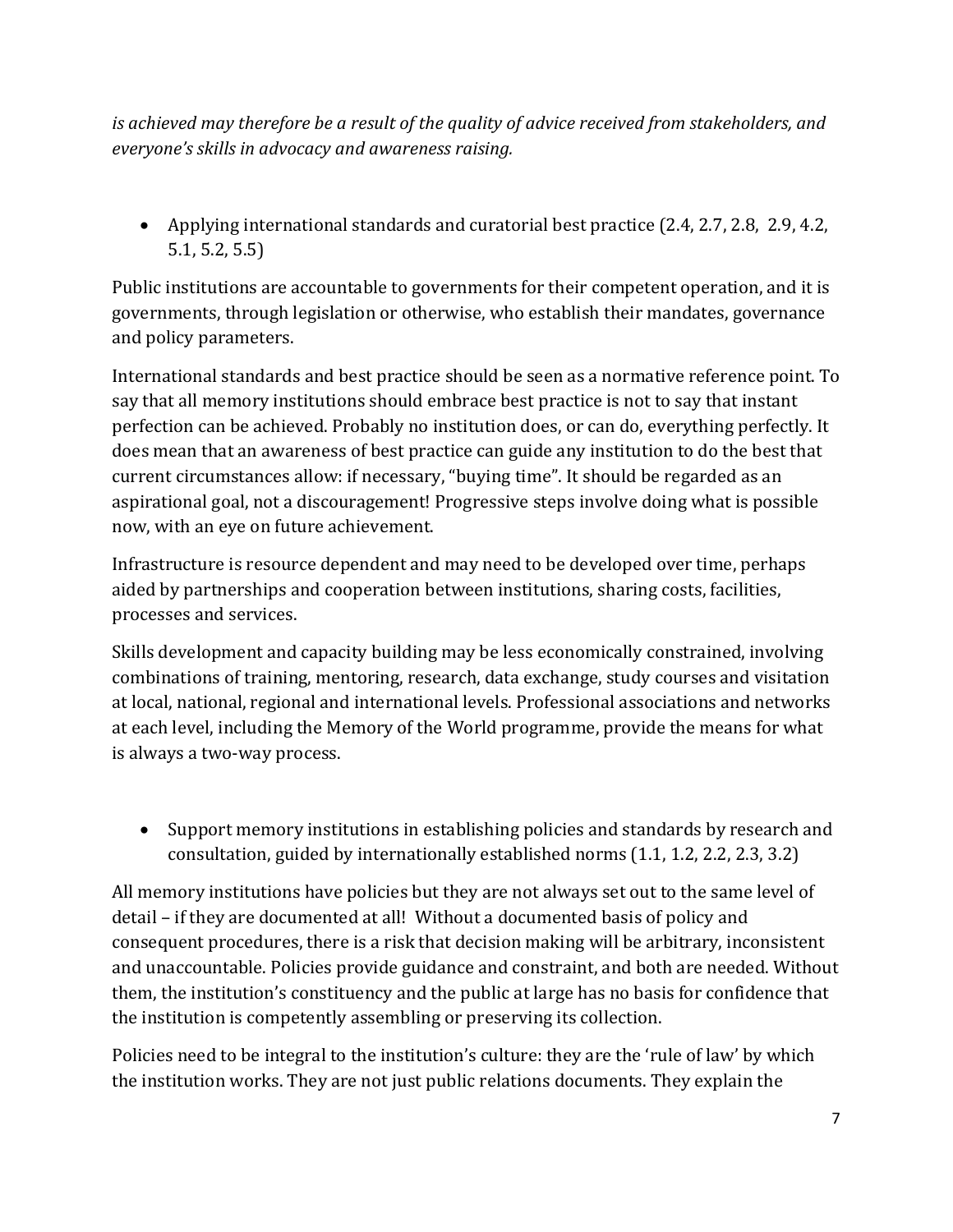*is achieved may therefore be a result of the quality of advice received from stakeholders, and everyone's skills in advocacy and awareness raising.* 

• Applying international standards and curatorial best practice (2.4, 2.7, 2.8, 2.9, 4.2, 5.1, 5.2, 5.5)

Public institutions are accountable to governments for their competent operation, and it is governments, through legislation or otherwise, who establish their mandates, governance and policy parameters.

International standards and best practice should be seen as a normative reference point. To say that all memory institutions should embrace best practice is not to say that instant perfection can be achieved. Probably no institution does, or can do, everything perfectly. It does mean that an awareness of best practice can guide any institution to do the best that current circumstances allow: if necessary, "buying time". It should be regarded as an aspirational goal, not a discouragement! Progressive steps involve doing what is possible now, with an eye on future achievement.

Infrastructure is resource dependent and may need to be developed over time, perhaps aided by partnerships and cooperation between institutions, sharing costs, facilities, processes and services.

Skills development and capacity building may be less economically constrained, involving combinations of training, mentoring, research, data exchange, study courses and visitation at local, national, regional and international levels. Professional associations and networks at each level, including the Memory of the World programme, provide the means for what is always a two-way process.

• Support memory institutions in establishing policies and standards by research and consultation, guided by internationally established norms (1.1, 1.2, 2.2, 2.3, 3.2)

All memory institutions have policies but they are not always set out to the same level of detail – if they are documented at all! Without a documented basis of policy and consequent procedures, there is a risk that decision making will be arbitrary, inconsistent and unaccountable. Policies provide guidance and constraint, and both are needed. Without them, the institution's constituency and the public at large has no basis for confidence that the institution is competently assembling or preserving its collection.

Policies need to be integral to the institution's culture: they are the 'rule of law' by which the institution works. They are not just public relations documents. They explain the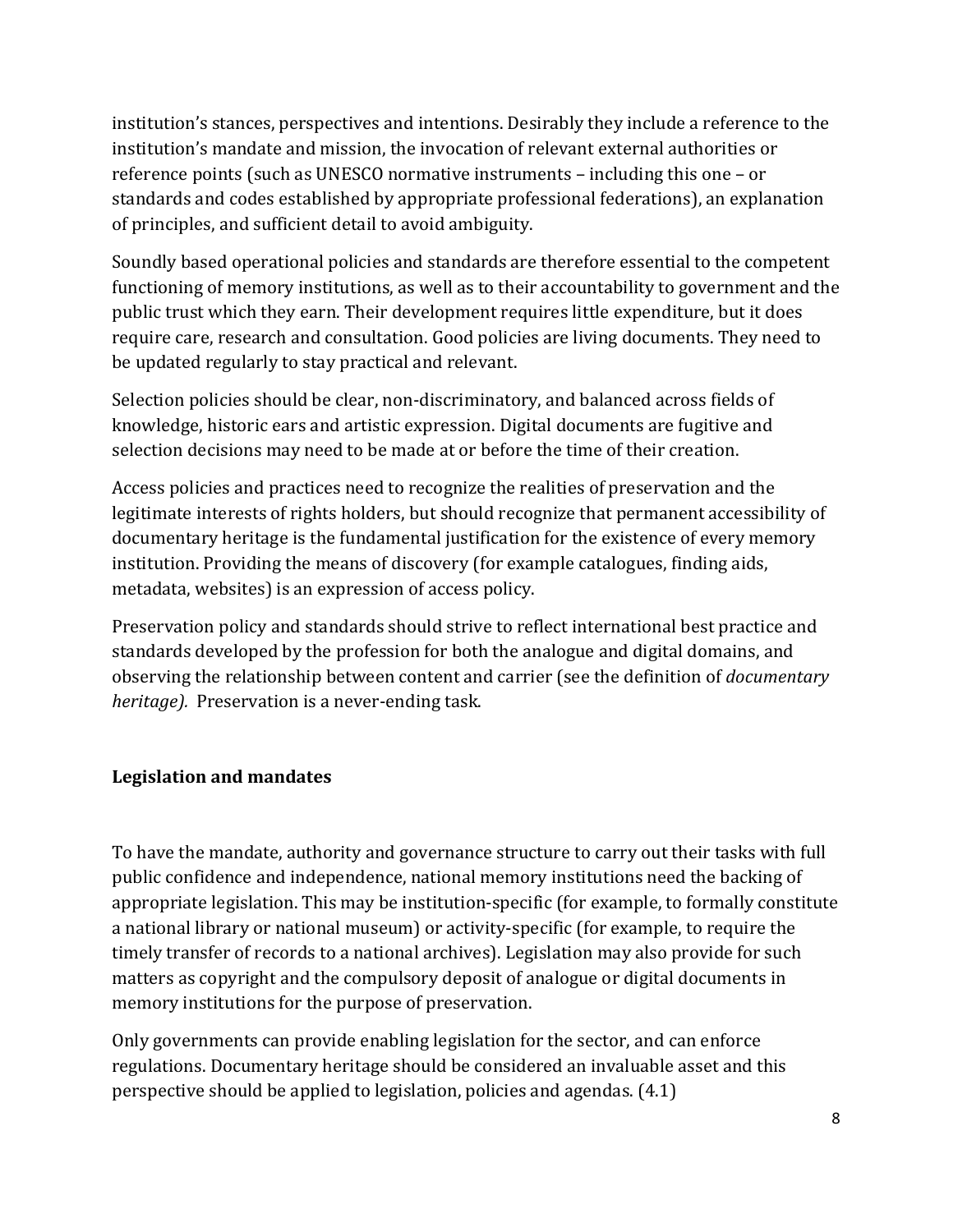institution's stances, perspectives and intentions. Desirably they include a reference to the institution's mandate and mission, the invocation of relevant external authorities or reference points (such as UNESCO normative instruments – including this one – or standards and codes established by appropriate professional federations), an explanation of principles, and sufficient detail to avoid ambiguity.

Soundly based operational policies and standards are therefore essential to the competent functioning of memory institutions, as well as to their accountability to government and the public trust which they earn. Their development requires little expenditure, but it does require care, research and consultation. Good policies are living documents. They need to be updated regularly to stay practical and relevant.

Selection policies should be clear, non-discriminatory, and balanced across fields of knowledge, historic ears and artistic expression. Digital documents are fugitive and selection decisions may need to be made at or before the time of their creation.

Access policies and practices need to recognize the realities of preservation and the legitimate interests of rights holders, but should recognize that permanent accessibility of documentary heritage is the fundamental justification for the existence of every memory institution. Providing the means of discovery (for example catalogues, finding aids, metadata, websites) is an expression of access policy.

Preservation policy and standards should strive to reflect international best practice and standards developed by the profession for both the analogue and digital domains, and observing the relationship between content and carrier (see the definition of *documentary heritage).* Preservation is a never-ending task.

#### **Legislation and mandates**

To have the mandate, authority and governance structure to carry out their tasks with full public confidence and independence, national memory institutions need the backing of appropriate legislation. This may be institution-specific (for example, to formally constitute a national library or national museum) or activity-specific (for example, to require the timely transfer of records to a national archives). Legislation may also provide for such matters as copyright and the compulsory deposit of analogue or digital documents in memory institutions for the purpose of preservation.

Only governments can provide enabling legislation for the sector, and can enforce regulations. Documentary heritage should be considered an invaluable asset and this perspective should be applied to legislation, policies and agendas. (4.1)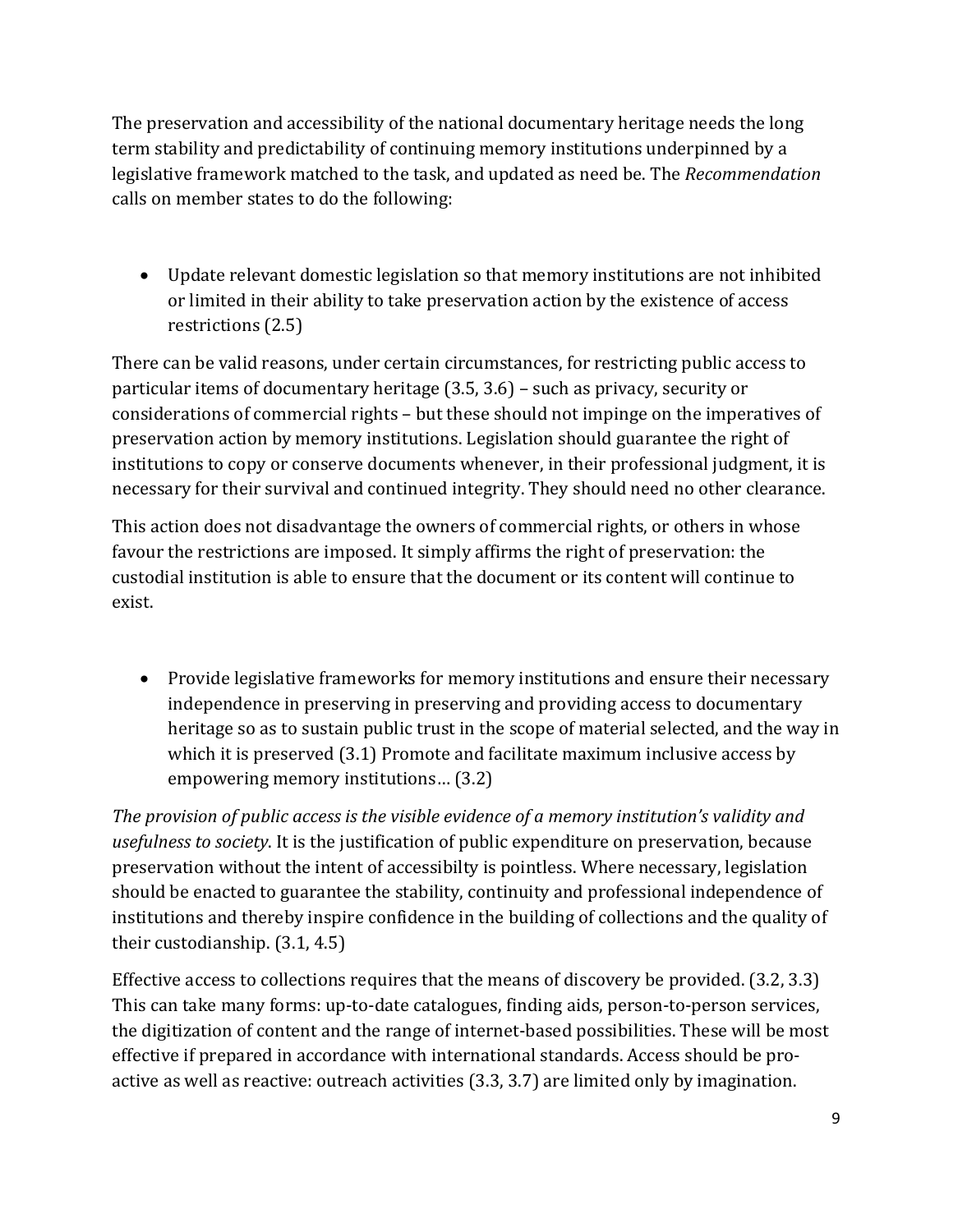The preservation and accessibility of the national documentary heritage needs the long term stability and predictability of continuing memory institutions underpinned by a legislative framework matched to the task, and updated as need be. The *Recommendation* calls on member states to do the following:

• Update relevant domestic legislation so that memory institutions are not inhibited or limited in their ability to take preservation action by the existence of access restrictions (2.5)

There can be valid reasons, under certain circumstances, for restricting public access to particular items of documentary heritage (3.5, 3.6) – such as privacy, security or considerations of commercial rights – but these should not impinge on the imperatives of preservation action by memory institutions. Legislation should guarantee the right of institutions to copy or conserve documents whenever, in their professional judgment, it is necessary for their survival and continued integrity. They should need no other clearance.

This action does not disadvantage the owners of commercial rights, or others in whose favour the restrictions are imposed. It simply affirms the right of preservation: the custodial institution is able to ensure that the document or its content will continue to exist.

• Provide legislative frameworks for memory institutions and ensure their necessary independence in preserving in preserving and providing access to documentary heritage so as to sustain public trust in the scope of material selected, and the way in which it is preserved (3.1) Promote and facilitate maximum inclusive access by empowering memory institutions… (3.2)

*The provision of public access is the visible evidence of a memory institution's validity and usefulness to society*. It is the justification of public expenditure on preservation, because preservation without the intent of accessibilty is pointless. Where necessary, legislation should be enacted to guarantee the stability, continuity and professional independence of institutions and thereby inspire confidence in the building of collections and the quality of their custodianship. (3.1, 4.5)

Effective access to collections requires that the means of discovery be provided. (3.2, 3.3) This can take many forms: up-to-date catalogues, finding aids, person-to-person services, the digitization of content and the range of internet-based possibilities. These will be most effective if prepared in accordance with international standards. Access should be proactive as well as reactive: outreach activities (3.3, 3.7) are limited only by imagination.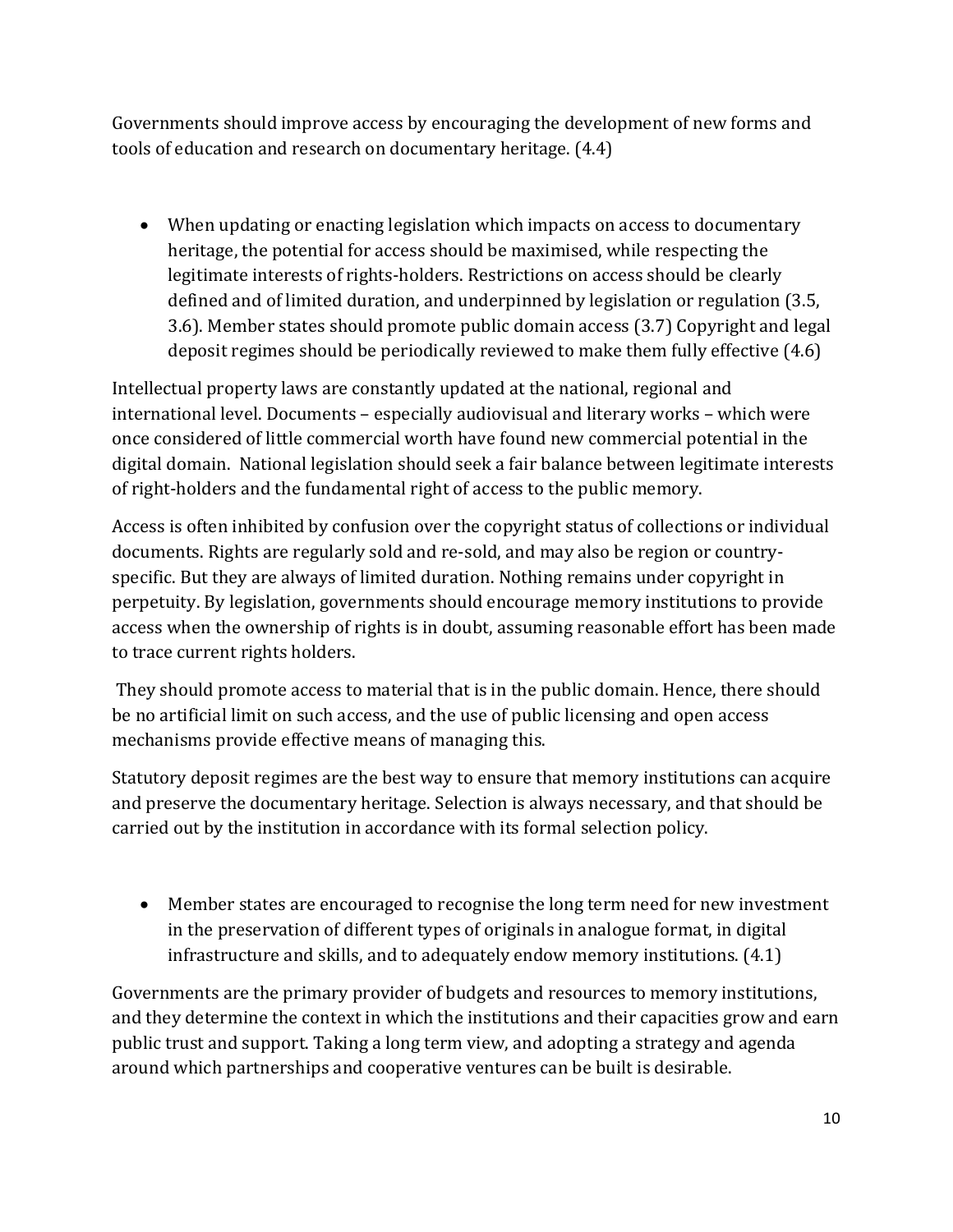Governments should improve access by encouraging the development of new forms and tools of education and research on documentary heritage. (4.4)

• When updating or enacting legislation which impacts on access to documentary heritage, the potential for access should be maximised, while respecting the legitimate interests of rights-holders. Restrictions on access should be clearly defined and of limited duration, and underpinned by legislation or regulation (3.5, 3.6). Member states should promote public domain access (3.7) Copyright and legal deposit regimes should be periodically reviewed to make them fully effective (4.6)

Intellectual property laws are constantly updated at the national, regional and international level. Documents – especially audiovisual and literary works – which were once considered of little commercial worth have found new commercial potential in the digital domain. National legislation should seek a fair balance between legitimate interests of right-holders and the fundamental right of access to the public memory.

Access is often inhibited by confusion over the copyright status of collections or individual documents. Rights are regularly sold and re-sold, and may also be region or countryspecific. But they are always of limited duration. Nothing remains under copyright in perpetuity. By legislation, governments should encourage memory institutions to provide access when the ownership of rights is in doubt, assuming reasonable effort has been made to trace current rights holders.

They should promote access to material that is in the public domain. Hence, there should be no artificial limit on such access, and the use of public licensing and open access mechanisms provide effective means of managing this.

Statutory deposit regimes are the best way to ensure that memory institutions can acquire and preserve the documentary heritage. Selection is always necessary, and that should be carried out by the institution in accordance with its formal selection policy.

• Member states are encouraged to recognise the long term need for new investment in the preservation of different types of originals in analogue format, in digital infrastructure and skills, and to adequately endow memory institutions. (4.1)

Governments are the primary provider of budgets and resources to memory institutions, and they determine the context in which the institutions and their capacities grow and earn public trust and support. Taking a long term view, and adopting a strategy and agenda around which partnerships and cooperative ventures can be built is desirable.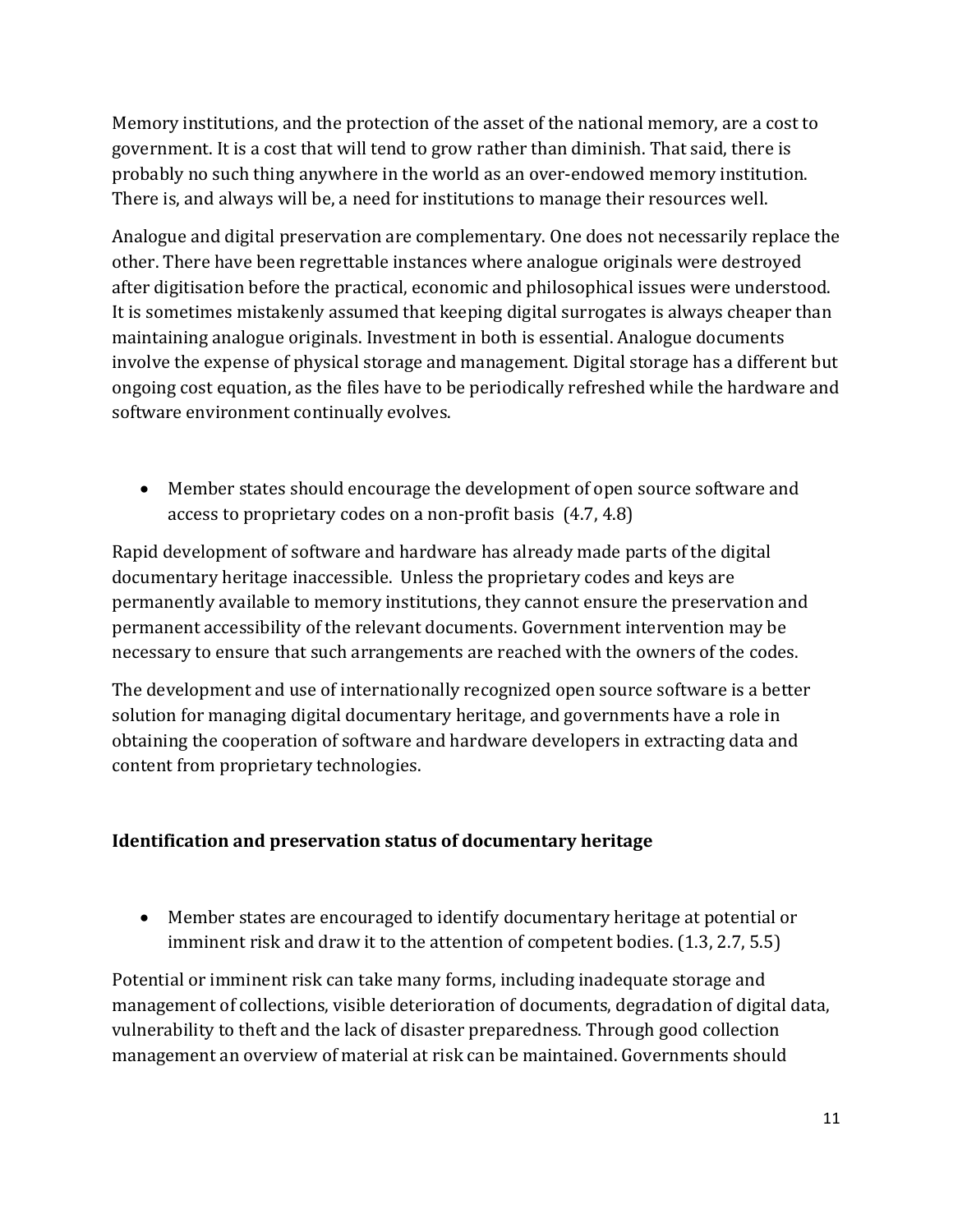Memory institutions, and the protection of the asset of the national memory, are a cost to government. It is a cost that will tend to grow rather than diminish. That said, there is probably no such thing anywhere in the world as an over-endowed memory institution. There is, and always will be, a need for institutions to manage their resources well.

Analogue and digital preservation are complementary. One does not necessarily replace the other. There have been regrettable instances where analogue originals were destroyed after digitisation before the practical, economic and philosophical issues were understood. It is sometimes mistakenly assumed that keeping digital surrogates is always cheaper than maintaining analogue originals. Investment in both is essential. Analogue documents involve the expense of physical storage and management. Digital storage has a different but ongoing cost equation, as the files have to be periodically refreshed while the hardware and software environment continually evolves.

• Member states should encourage the development of open source software and access to proprietary codes on a non-profit basis (4.7, 4.8)

Rapid development of software and hardware has already made parts of the digital documentary heritage inaccessible. Unless the proprietary codes and keys are permanently available to memory institutions, they cannot ensure the preservation and permanent accessibility of the relevant documents. Government intervention may be necessary to ensure that such arrangements are reached with the owners of the codes.

The development and use of internationally recognized open source software is a better solution for managing digital documentary heritage, and governments have a role in obtaining the cooperation of software and hardware developers in extracting data and content from proprietary technologies.

#### **Identification and preservation status of documentary heritage**

• Member states are encouraged to identify documentary heritage at potential or imminent risk and draw it to the attention of competent bodies. (1.3, 2.7, 5.5)

Potential or imminent risk can take many forms, including inadequate storage and management of collections, visible deterioration of documents, degradation of digital data, vulnerability to theft and the lack of disaster preparedness. Through good collection management an overview of material at risk can be maintained. Governments should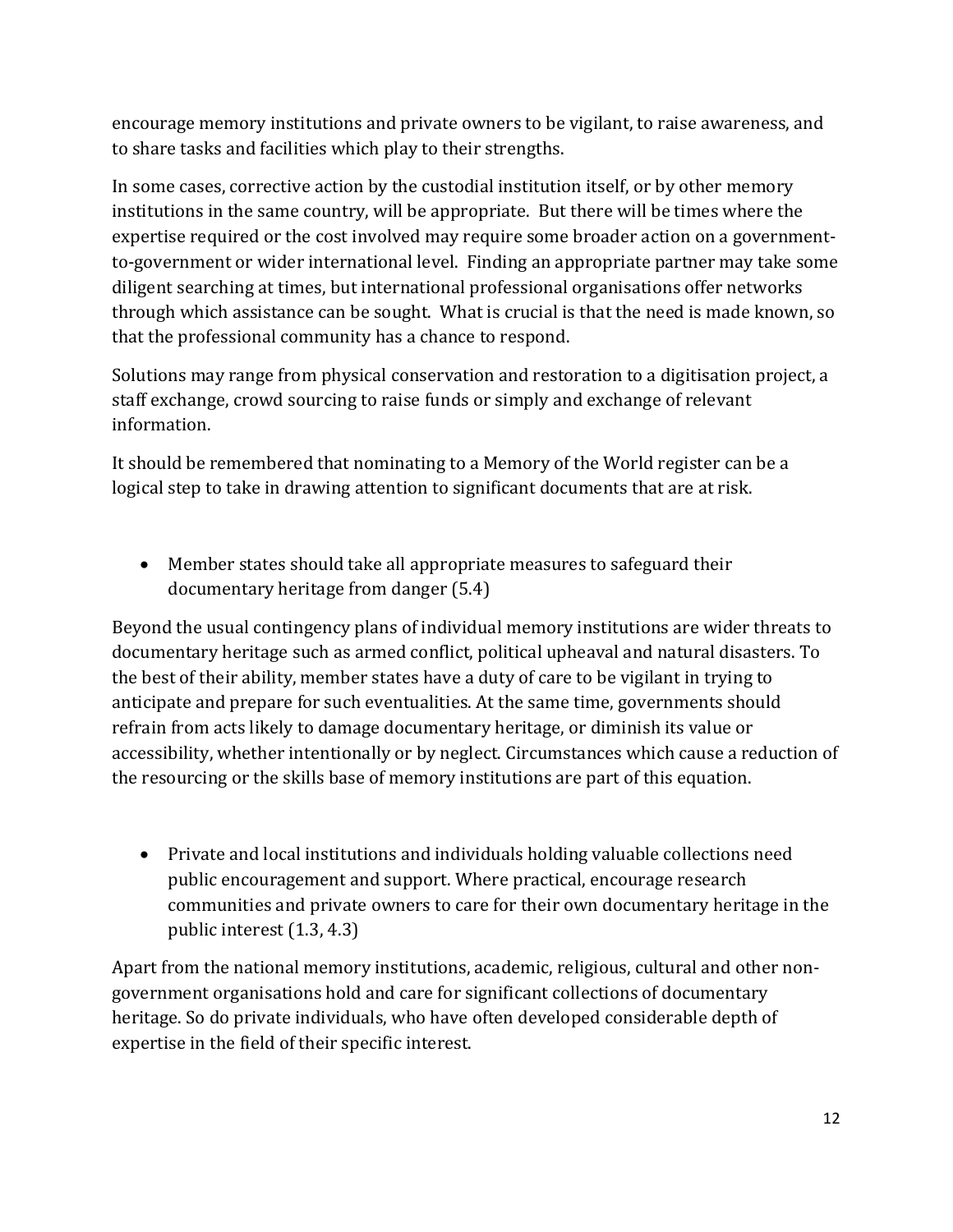encourage memory institutions and private owners to be vigilant, to raise awareness, and to share tasks and facilities which play to their strengths.

In some cases, corrective action by the custodial institution itself, or by other memory institutions in the same country, will be appropriate. But there will be times where the expertise required or the cost involved may require some broader action on a governmentto-government or wider international level. Finding an appropriate partner may take some diligent searching at times, but international professional organisations offer networks through which assistance can be sought. What is crucial is that the need is made known, so that the professional community has a chance to respond.

Solutions may range from physical conservation and restoration to a digitisation project, a staff exchange, crowd sourcing to raise funds or simply and exchange of relevant information.

It should be remembered that nominating to a Memory of the World register can be a logical step to take in drawing attention to significant documents that are at risk.

• Member states should take all appropriate measures to safeguard their documentary heritage from danger (5.4)

Beyond the usual contingency plans of individual memory institutions are wider threats to documentary heritage such as armed conflict, political upheaval and natural disasters. To the best of their ability, member states have a duty of care to be vigilant in trying to anticipate and prepare for such eventualities. At the same time, governments should refrain from acts likely to damage documentary heritage, or diminish its value or accessibility, whether intentionally or by neglect. Circumstances which cause a reduction of the resourcing or the skills base of memory institutions are part of this equation.

• Private and local institutions and individuals holding valuable collections need public encouragement and support. Where practical, encourage research communities and private owners to care for their own documentary heritage in the public interest (1.3, 4.3)

Apart from the national memory institutions, academic, religious, cultural and other nongovernment organisations hold and care for significant collections of documentary heritage. So do private individuals, who have often developed considerable depth of expertise in the field of their specific interest.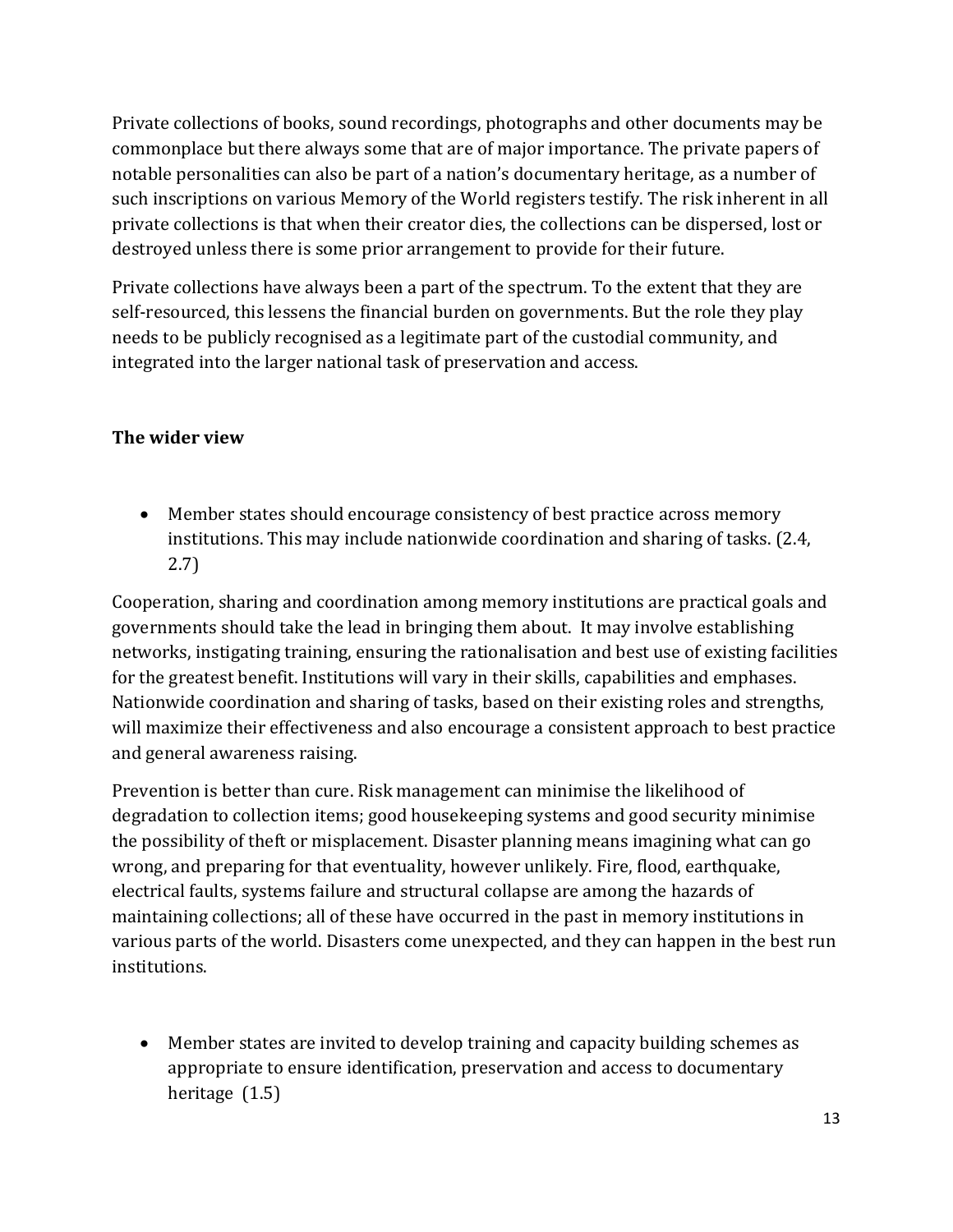Private collections of books, sound recordings, photographs and other documents may be commonplace but there always some that are of major importance. The private papers of notable personalities can also be part of a nation's documentary heritage, as a number of such inscriptions on various Memory of the World registers testify. The risk inherent in all private collections is that when their creator dies, the collections can be dispersed, lost or destroyed unless there is some prior arrangement to provide for their future.

Private collections have always been a part of the spectrum. To the extent that they are self-resourced, this lessens the financial burden on governments. But the role they play needs to be publicly recognised as a legitimate part of the custodial community, and integrated into the larger national task of preservation and access.

### **The wider view**

• Member states should encourage consistency of best practice across memory institutions. This may include nationwide coordination and sharing of tasks. (2.4, 2.7)

Cooperation, sharing and coordination among memory institutions are practical goals and governments should take the lead in bringing them about. It may involve establishing networks, instigating training, ensuring the rationalisation and best use of existing facilities for the greatest benefit. Institutions will vary in their skills, capabilities and emphases. Nationwide coordination and sharing of tasks, based on their existing roles and strengths, will maximize their effectiveness and also encourage a consistent approach to best practice and general awareness raising.

Prevention is better than cure. Risk management can minimise the likelihood of degradation to collection items; good housekeeping systems and good security minimise the possibility of theft or misplacement. Disaster planning means imagining what can go wrong, and preparing for that eventuality, however unlikely. Fire, flood, earthquake, electrical faults, systems failure and structural collapse are among the hazards of maintaining collections; all of these have occurred in the past in memory institutions in various parts of the world. Disasters come unexpected, and they can happen in the best run institutions.

• Member states are invited to develop training and capacity building schemes as appropriate to ensure identification, preservation and access to documentary heritage (1.5)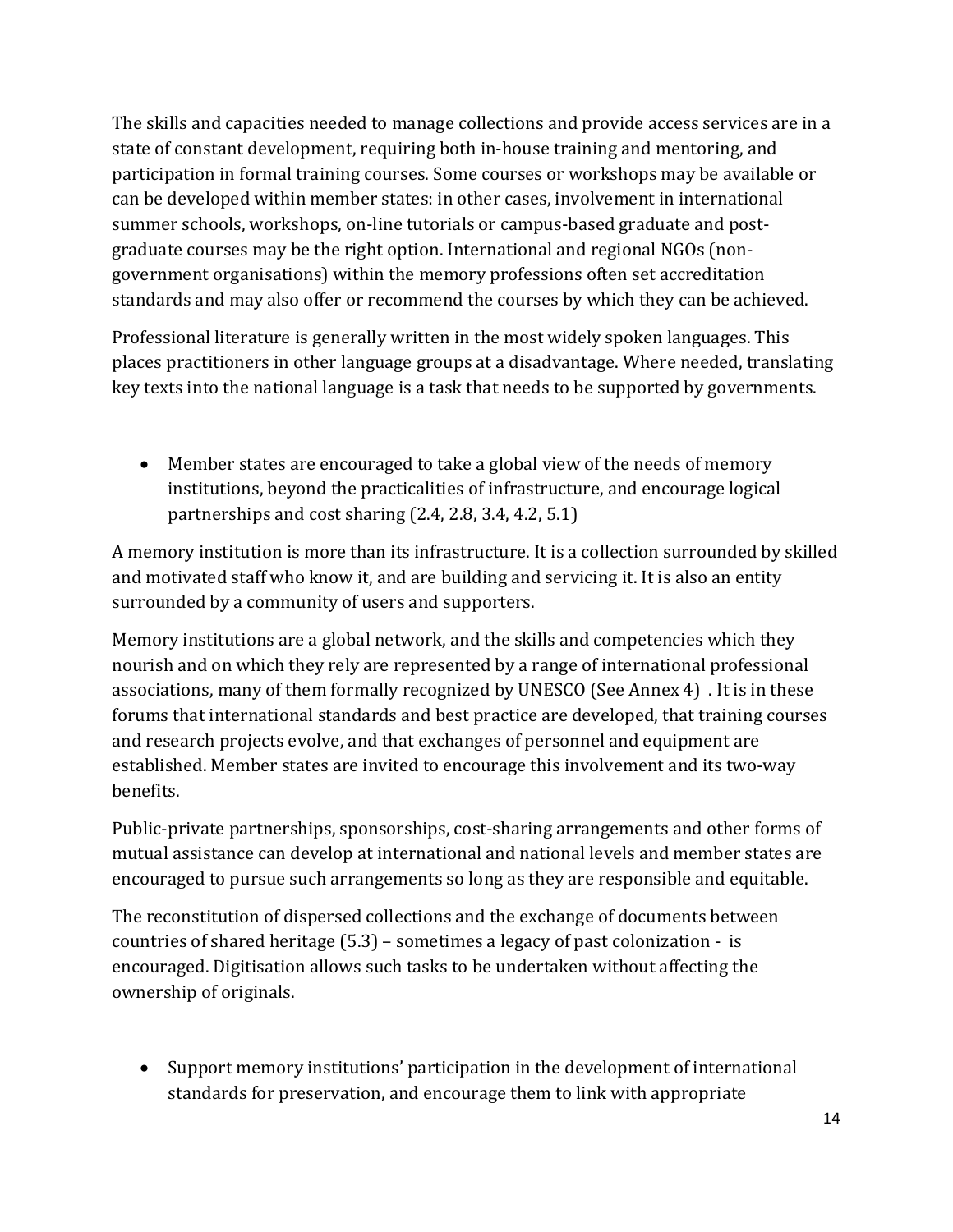The skills and capacities needed to manage collections and provide access services are in a state of constant development, requiring both in-house training and mentoring, and participation in formal training courses. Some courses or workshops may be available or can be developed within member states: in other cases, involvement in international summer schools, workshops, on-line tutorials or campus-based graduate and postgraduate courses may be the right option. International and regional NGOs (nongovernment organisations) within the memory professions often set accreditation standards and may also offer or recommend the courses by which they can be achieved.

Professional literature is generally written in the most widely spoken languages. This places practitioners in other language groups at a disadvantage. Where needed, translating key texts into the national language is a task that needs to be supported by governments.

• Member states are encouraged to take a global view of the needs of memory institutions, beyond the practicalities of infrastructure, and encourage logical partnerships and cost sharing (2.4, 2.8, 3.4, 4.2, 5.1)

A memory institution is more than its infrastructure. It is a collection surrounded by skilled and motivated staff who know it, and are building and servicing it. It is also an entity surrounded by a community of users and supporters.

Memory institutions are a global network, and the skills and competencies which they nourish and on which they rely are represented by a range of international professional associations, many of them formally recognized by UNESCO (See Annex 4) . It is in these forums that international standards and best practice are developed, that training courses and research projects evolve, and that exchanges of personnel and equipment are established. Member states are invited to encourage this involvement and its two-way benefits.

Public-private partnerships, sponsorships, cost-sharing arrangements and other forms of mutual assistance can develop at international and national levels and member states are encouraged to pursue such arrangements so long as they are responsible and equitable.

The reconstitution of dispersed collections and the exchange of documents between countries of shared heritage (5.3) – sometimes a legacy of past colonization - is encouraged. Digitisation allows such tasks to be undertaken without affecting the ownership of originals.

• Support memory institutions' participation in the development of international standards for preservation, and encourage them to link with appropriate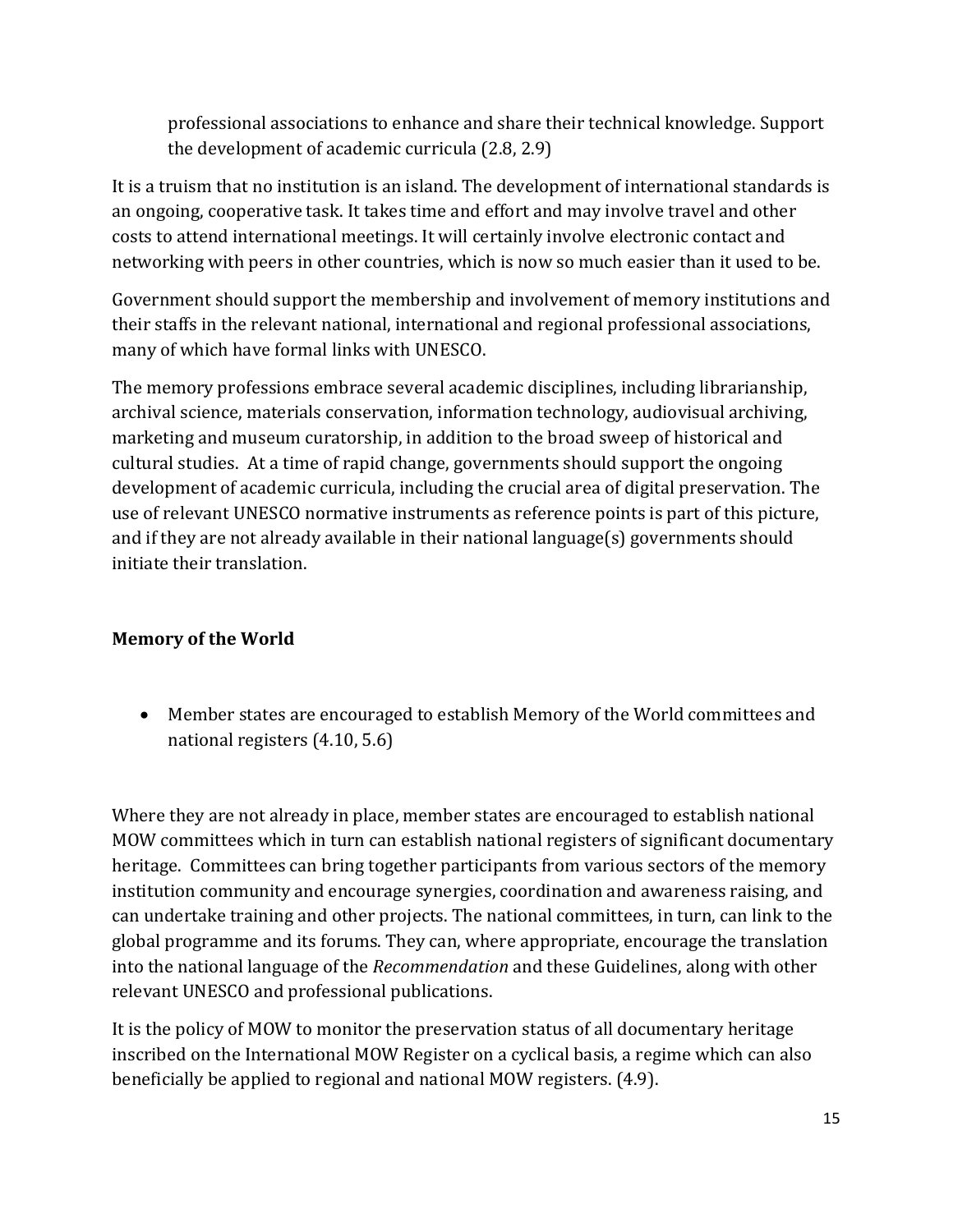professional associations to enhance and share their technical knowledge. Support the development of academic curricula (2.8, 2.9)

It is a truism that no institution is an island. The development of international standards is an ongoing, cooperative task. It takes time and effort and may involve travel and other costs to attend international meetings. It will certainly involve electronic contact and networking with peers in other countries, which is now so much easier than it used to be.

Government should support the membership and involvement of memory institutions and their staffs in the relevant national, international and regional professional associations, many of which have formal links with UNESCO.

The memory professions embrace several academic disciplines, including librarianship, archival science, materials conservation, information technology, audiovisual archiving, marketing and museum curatorship, in addition to the broad sweep of historical and cultural studies. At a time of rapid change, governments should support the ongoing development of academic curricula, including the crucial area of digital preservation. The use of relevant UNESCO normative instruments as reference points is part of this picture, and if they are not already available in their national language(s) governments should initiate their translation.

### **Memory of the World**

• Member states are encouraged to establish Memory of the World committees and national registers (4.10, 5.6)

Where they are not already in place, member states are encouraged to establish national MOW committees which in turn can establish national registers of significant documentary heritage. Committees can bring together participants from various sectors of the memory institution community and encourage synergies, coordination and awareness raising, and can undertake training and other projects. The national committees, in turn, can link to the global programme and its forums. They can, where appropriate, encourage the translation into the national language of the *Recommendation* and these Guidelines, along with other relevant UNESCO and professional publications.

It is the policy of MOW to monitor the preservation status of all documentary heritage inscribed on the International MOW Register on a cyclical basis, a regime which can also beneficially be applied to regional and national MOW registers. (4.9).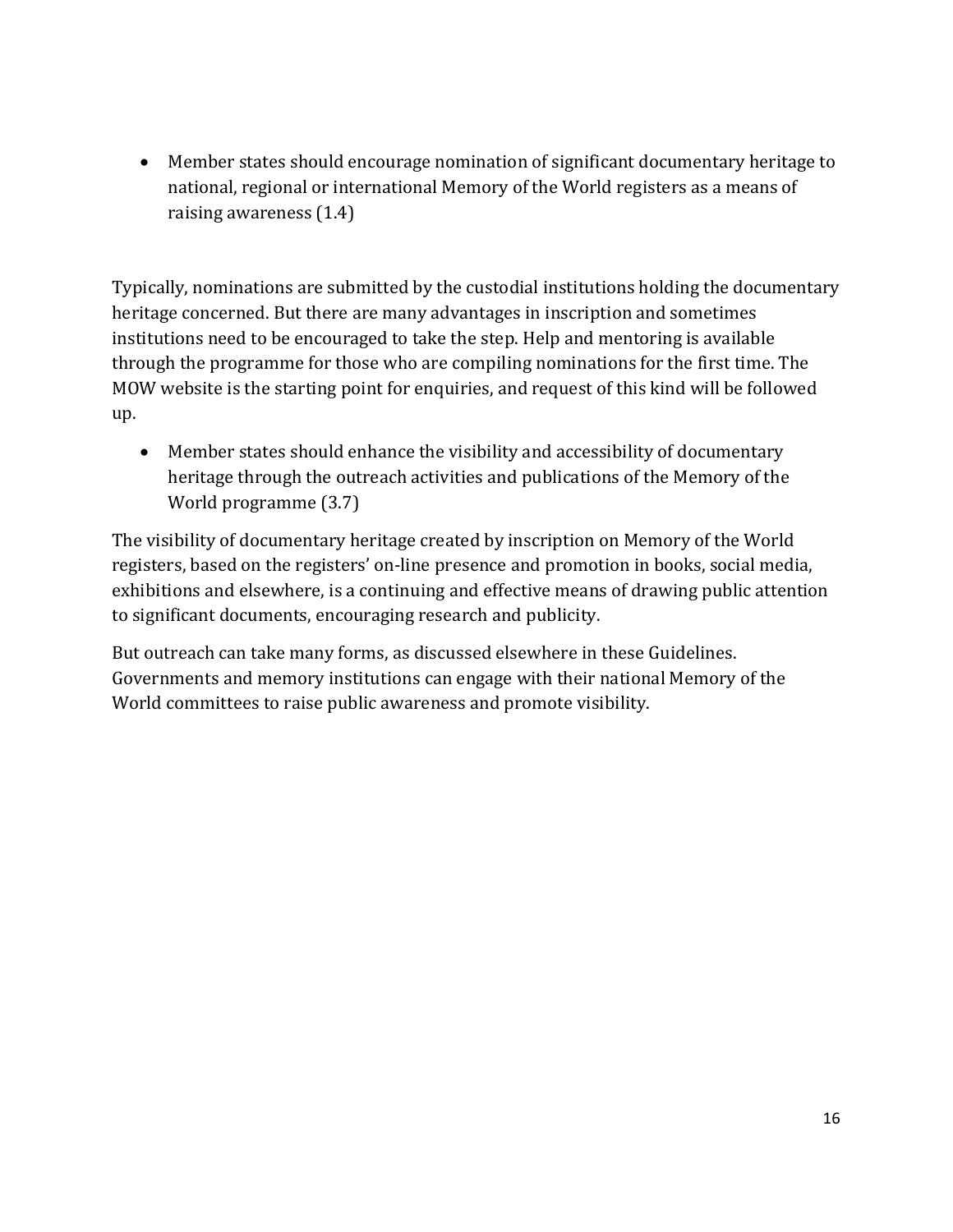• Member states should encourage nomination of significant documentary heritage to national, regional or international Memory of the World registers as a means of raising awareness (1.4)

Typically, nominations are submitted by the custodial institutions holding the documentary heritage concerned. But there are many advantages in inscription and sometimes institutions need to be encouraged to take the step. Help and mentoring is available through the programme for those who are compiling nominations for the first time. The MOW website is the starting point for enquiries, and request of this kind will be followed up.

• Member states should enhance the visibility and accessibility of documentary heritage through the outreach activities and publications of the Memory of the World programme (3.7)

The visibility of documentary heritage created by inscription on Memory of the World registers, based on the registers' on-line presence and promotion in books, social media, exhibitions and elsewhere, is a continuing and effective means of drawing public attention to significant documents, encouraging research and publicity.

But outreach can take many forms, as discussed elsewhere in these Guidelines. Governments and memory institutions can engage with their national Memory of the World committees to raise public awareness and promote visibility.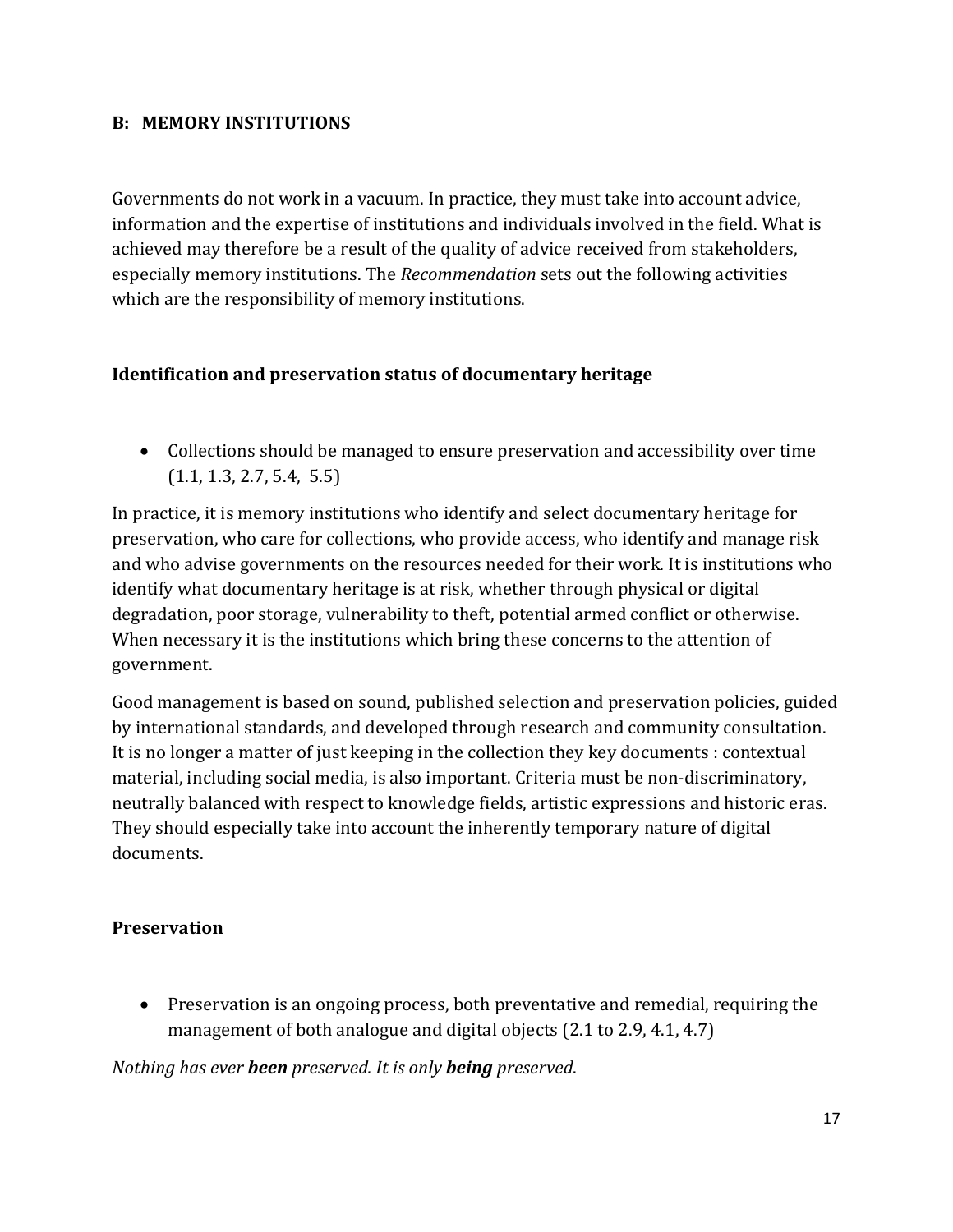#### **B: MEMORY INSTITUTIONS**

Governments do not work in a vacuum. In practice, they must take into account advice, information and the expertise of institutions and individuals involved in the field. What is achieved may therefore be a result of the quality of advice received from stakeholders, especially memory institutions. The *Recommendation* sets out the following activities which are the responsibility of memory institutions.

#### **Identification and preservation status of documentary heritage**

• Collections should be managed to ensure preservation and accessibility over time (1.1, 1.3, 2.7, 5.4, 5.5)

In practice, it is memory institutions who identify and select documentary heritage for preservation, who care for collections, who provide access, who identify and manage risk and who advise governments on the resources needed for their work. It is institutions who identify what documentary heritage is at risk, whether through physical or digital degradation, poor storage, vulnerability to theft, potential armed conflict or otherwise. When necessary it is the institutions which bring these concerns to the attention of government.

Good management is based on sound, published selection and preservation policies, guided by international standards, and developed through research and community consultation. It is no longer a matter of just keeping in the collection they key documents : contextual material, including social media, is also important. Criteria must be non-discriminatory, neutrally balanced with respect to knowledge fields, artistic expressions and historic eras. They should especially take into account the inherently temporary nature of digital documents.

#### **Preservation**

• Preservation is an ongoing process, both preventative and remedial, requiring the management of both analogue and digital objects (2.1 to 2.9, 4.1, 4.7)

*Nothing has ever been preserved. It is only being preserved*.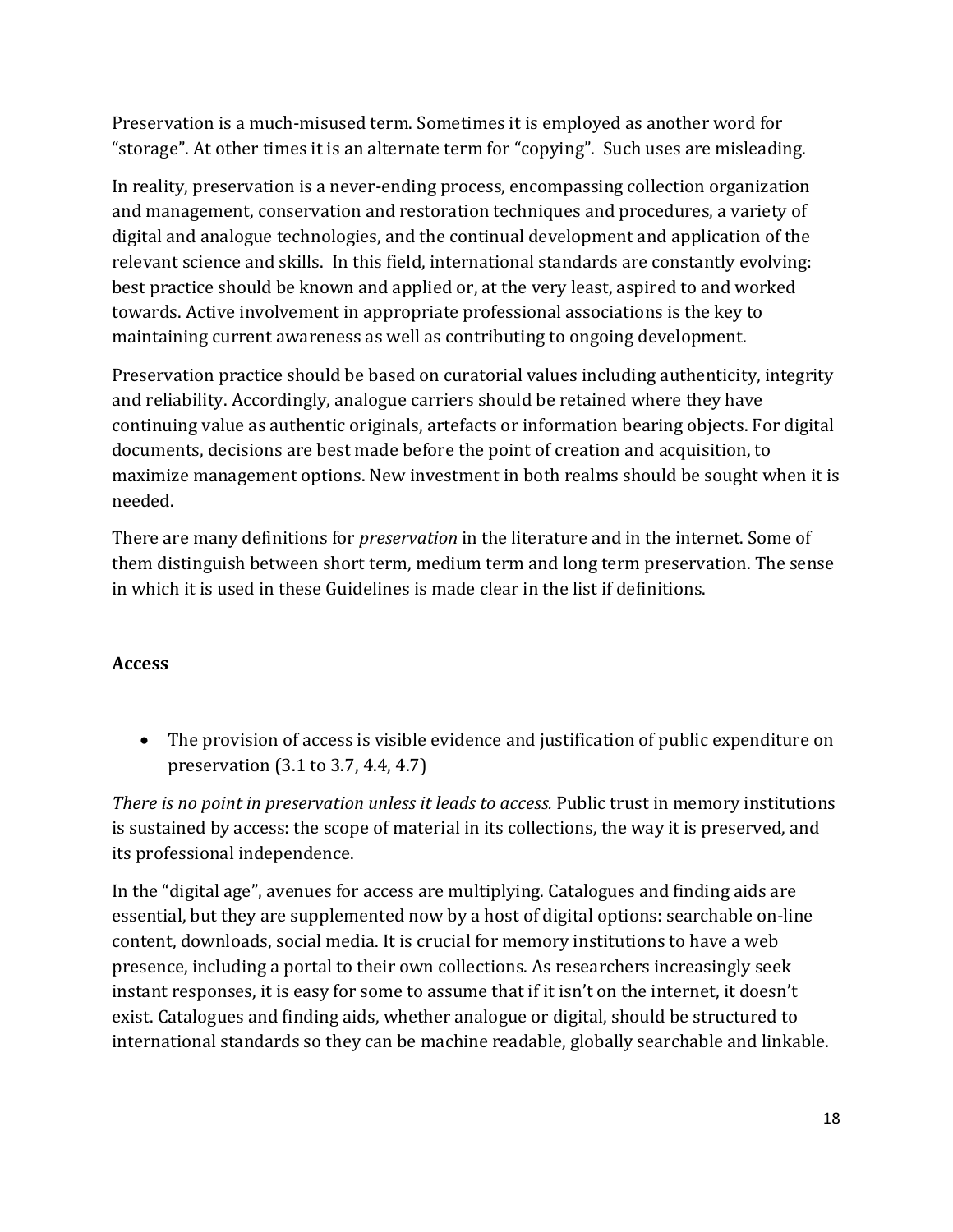Preservation is a much-misused term. Sometimes it is employed as another word for "storage". At other times it is an alternate term for "copying". Such uses are misleading.

In reality, preservation is a never-ending process, encompassing collection organization and management, conservation and restoration techniques and procedures, a variety of digital and analogue technologies, and the continual development and application of the relevant science and skills. In this field, international standards are constantly evolving: best practice should be known and applied or, at the very least, aspired to and worked towards. Active involvement in appropriate professional associations is the key to maintaining current awareness as well as contributing to ongoing development.

Preservation practice should be based on curatorial values including authenticity, integrity and reliability. Accordingly, analogue carriers should be retained where they have continuing value as authentic originals, artefacts or information bearing objects. For digital documents, decisions are best made before the point of creation and acquisition, to maximize management options. New investment in both realms should be sought when it is needed.

There are many definitions for *preservation* in the literature and in the internet. Some of them distinguish between short term, medium term and long term preservation. The sense in which it is used in these Guidelines is made clear in the list if definitions.

### **Access**

• The provision of access is visible evidence and justification of public expenditure on preservation (3.1 to 3.7, 4.4, 4.7)

*There is no point in preservation unless it leads to access.* Public trust in memory institutions is sustained by access: the scope of material in its collections, the way it is preserved, and its professional independence.

In the "digital age", avenues for access are multiplying. Catalogues and finding aids are essential, but they are supplemented now by a host of digital options: searchable on-line content, downloads, social media. It is crucial for memory institutions to have a web presence, including a portal to their own collections. As researchers increasingly seek instant responses, it is easy for some to assume that if it isn't on the internet, it doesn't exist. Catalogues and finding aids, whether analogue or digital, should be structured to international standards so they can be machine readable, globally searchable and linkable.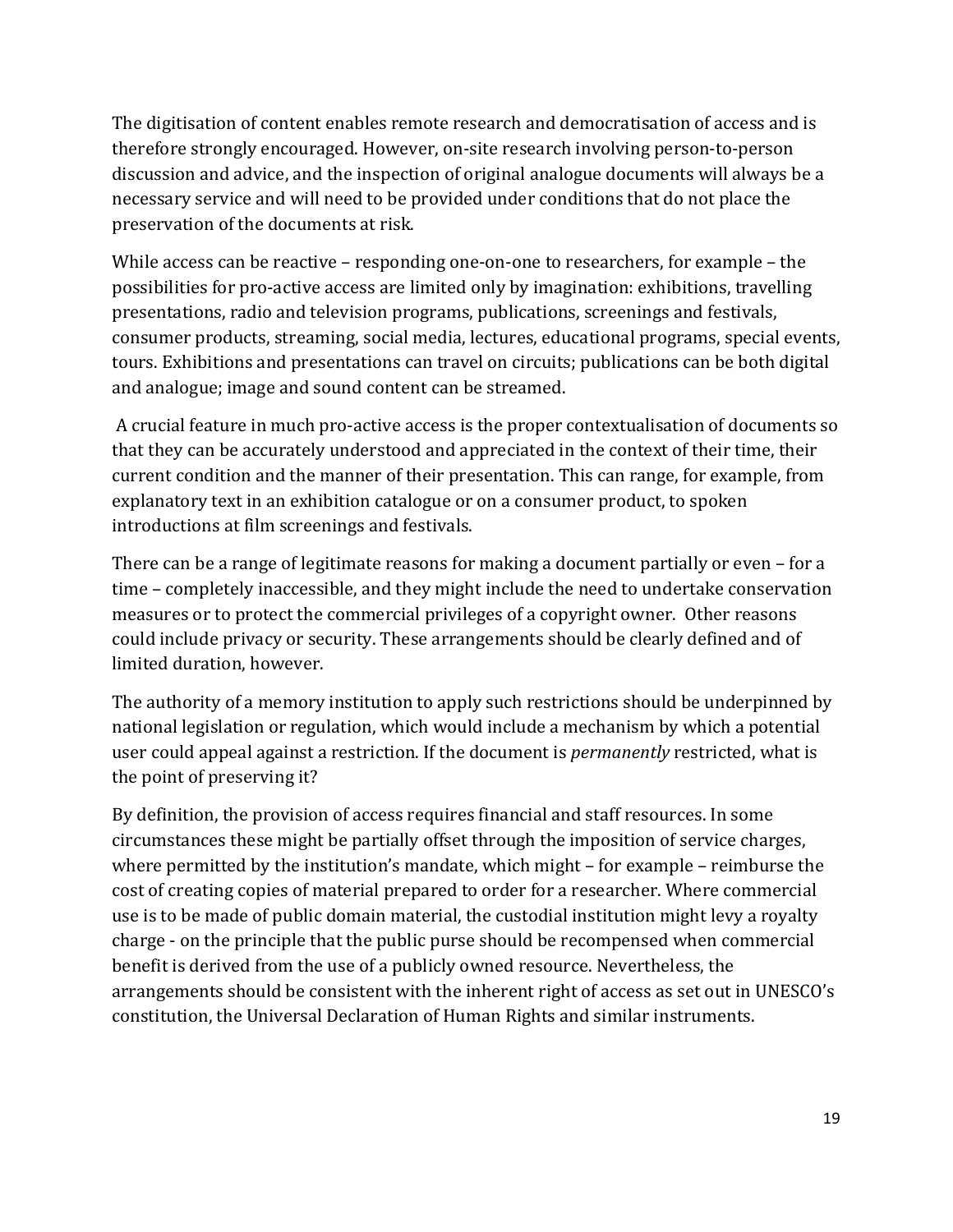The digitisation of content enables remote research and democratisation of access and is therefore strongly encouraged. However, on-site research involving person-to-person discussion and advice, and the inspection of original analogue documents will always be a necessary service and will need to be provided under conditions that do not place the preservation of the documents at risk.

While access can be reactive – responding one-on-one to researchers, for example – the possibilities for pro-active access are limited only by imagination: exhibitions, travelling presentations, radio and television programs, publications, screenings and festivals, consumer products, streaming, social media, lectures, educational programs, special events, tours. Exhibitions and presentations can travel on circuits; publications can be both digital and analogue; image and sound content can be streamed.

A crucial feature in much pro-active access is the proper contextualisation of documents so that they can be accurately understood and appreciated in the context of their time, their current condition and the manner of their presentation. This can range, for example, from explanatory text in an exhibition catalogue or on a consumer product, to spoken introductions at film screenings and festivals.

There can be a range of legitimate reasons for making a document partially or even – for a time – completely inaccessible, and they might include the need to undertake conservation measures or to protect the commercial privileges of a copyright owner. Other reasons could include privacy or security. These arrangements should be clearly defined and of limited duration, however.

The authority of a memory institution to apply such restrictions should be underpinned by national legislation or regulation, which would include a mechanism by which a potential user could appeal against a restriction. If the document is *permanently* restricted, what is the point of preserving it?

By definition, the provision of access requires financial and staff resources. In some circumstances these might be partially offset through the imposition of service charges, where permitted by the institution's mandate, which might – for example – reimburse the cost of creating copies of material prepared to order for a researcher. Where commercial use is to be made of public domain material, the custodial institution might levy a royalty charge - on the principle that the public purse should be recompensed when commercial benefit is derived from the use of a publicly owned resource. Nevertheless, the arrangements should be consistent with the inherent right of access as set out in UNESCO's constitution, the Universal Declaration of Human Rights and similar instruments.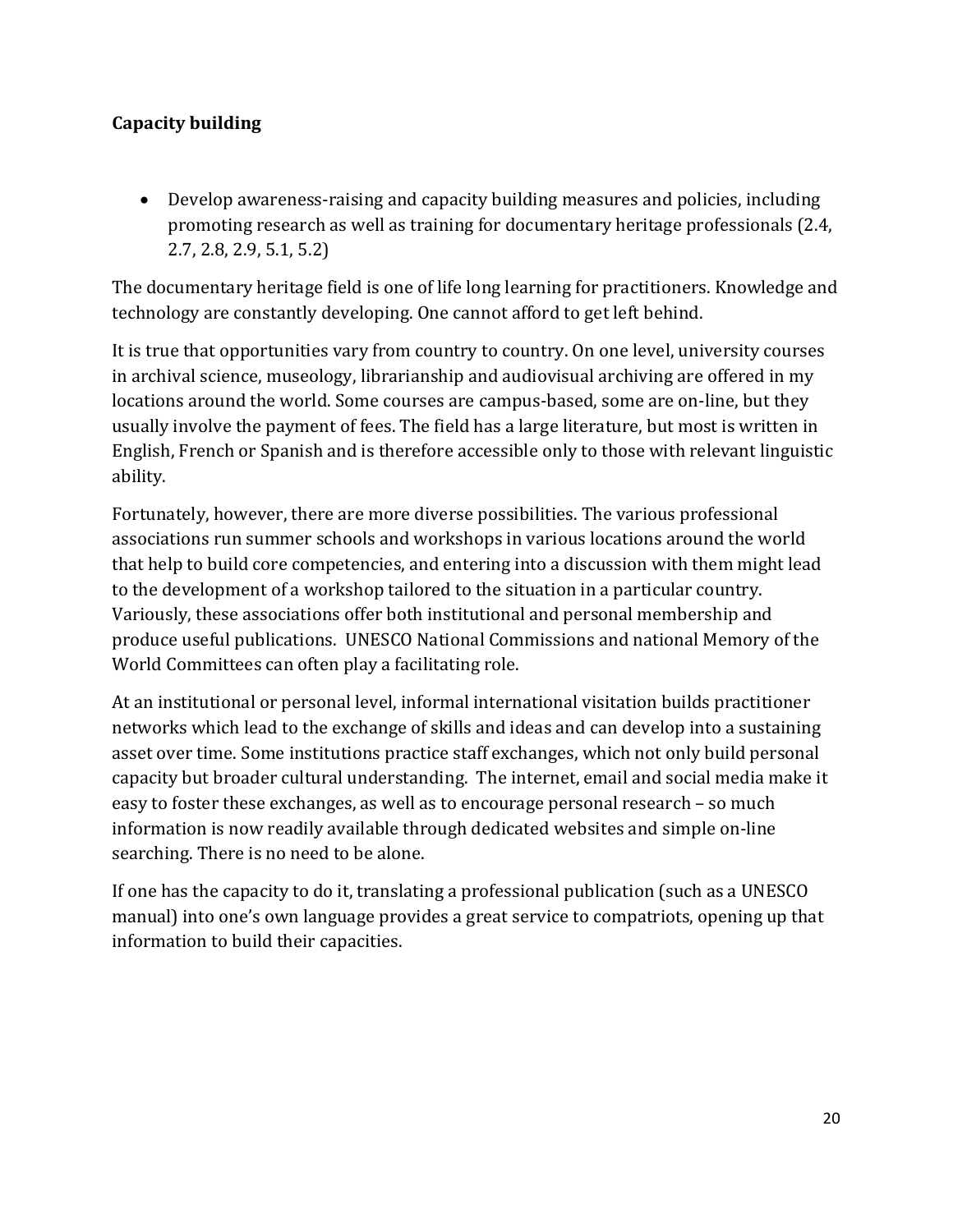### **Capacity building**

• Develop awareness-raising and capacity building measures and policies, including promoting research as well as training for documentary heritage professionals (2.4, 2.7, 2.8, 2.9, 5.1, 5.2)

The documentary heritage field is one of life long learning for practitioners. Knowledge and technology are constantly developing. One cannot afford to get left behind.

It is true that opportunities vary from country to country. On one level, university courses in archival science, museology, librarianship and audiovisual archiving are offered in my locations around the world. Some courses are campus-based, some are on-line, but they usually involve the payment of fees. The field has a large literature, but most is written in English, French or Spanish and is therefore accessible only to those with relevant linguistic ability.

Fortunately, however, there are more diverse possibilities. The various professional associations run summer schools and workshops in various locations around the world that help to build core competencies, and entering into a discussion with them might lead to the development of a workshop tailored to the situation in a particular country. Variously, these associations offer both institutional and personal membership and produce useful publications. UNESCO National Commissions and national Memory of the World Committees can often play a facilitating role.

At an institutional or personal level, informal international visitation builds practitioner networks which lead to the exchange of skills and ideas and can develop into a sustaining asset over time. Some institutions practice staff exchanges, which not only build personal capacity but broader cultural understanding. The internet, email and social media make it easy to foster these exchanges, as well as to encourage personal research – so much information is now readily available through dedicated websites and simple on-line searching. There is no need to be alone.

If one has the capacity to do it, translating a professional publication (such as a UNESCO manual) into one's own language provides a great service to compatriots, opening up that information to build their capacities.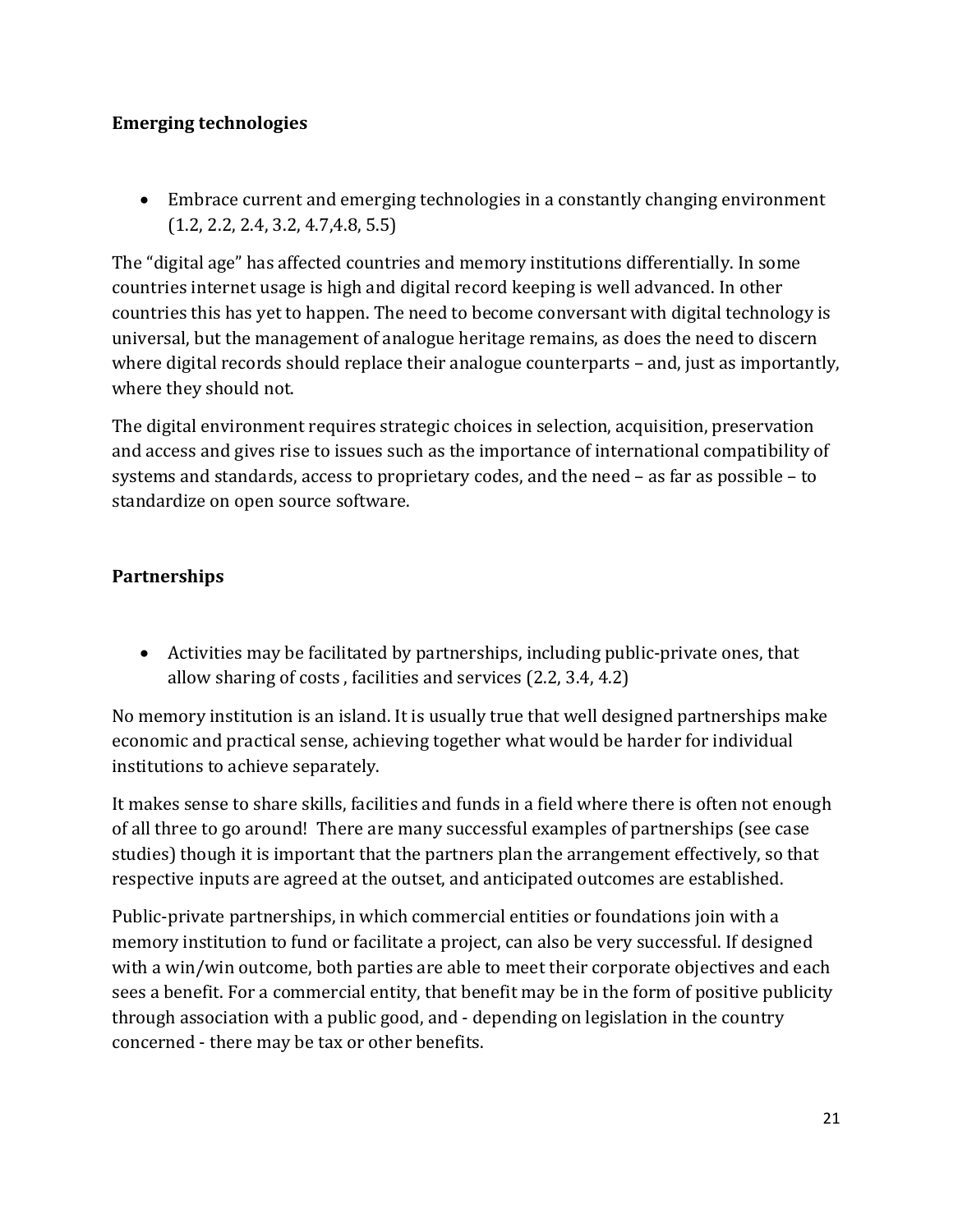### **Emerging technologies**

• Embrace current and emerging technologies in a constantly changing environment (1.2, 2.2, 2.4, 3.2, 4.7,4.8, 5.5)

The "digital age" has affected countries and memory institutions differentially. In some countries internet usage is high and digital record keeping is well advanced. In other countries this has yet to happen. The need to become conversant with digital technology is universal, but the management of analogue heritage remains, as does the need to discern where digital records should replace their analogue counterparts – and, just as importantly, where they should not.

The digital environment requires strategic choices in selection, acquisition, preservation and access and gives rise to issues such as the importance of international compatibility of systems and standards, access to proprietary codes, and the need – as far as possible – to standardize on open source software.

### **Partnerships**

• Activities may be facilitated by partnerships, including public-private ones, that allow sharing of costs , facilities and services (2.2, 3.4, 4.2)

No memory institution is an island. It is usually true that well designed partnerships make economic and practical sense, achieving together what would be harder for individual institutions to achieve separately.

It makes sense to share skills, facilities and funds in a field where there is often not enough of all three to go around! There are many successful examples of partnerships (see case studies) though it is important that the partners plan the arrangement effectively, so that respective inputs are agreed at the outset, and anticipated outcomes are established.

Public-private partnerships, in which commercial entities or foundations join with a memory institution to fund or facilitate a project, can also be very successful. If designed with a win/win outcome, both parties are able to meet their corporate objectives and each sees a benefit. For a commercial entity, that benefit may be in the form of positive publicity through association with a public good, and - depending on legislation in the country concerned - there may be tax or other benefits.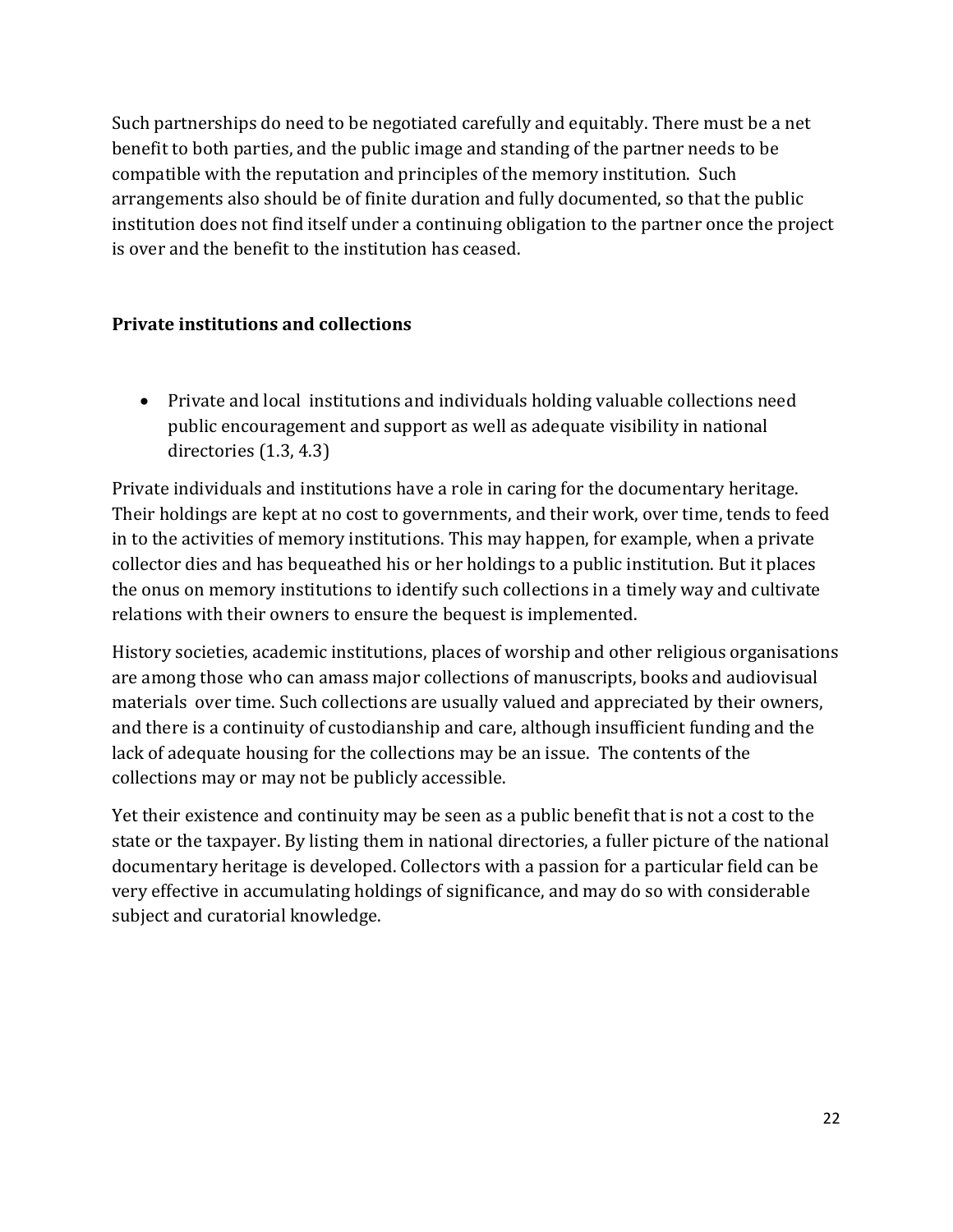Such partnerships do need to be negotiated carefully and equitably. There must be a net benefit to both parties, and the public image and standing of the partner needs to be compatible with the reputation and principles of the memory institution. Such arrangements also should be of finite duration and fully documented, so that the public institution does not find itself under a continuing obligation to the partner once the project is over and the benefit to the institution has ceased.

### **Private institutions and collections**

• Private and local institutions and individuals holding valuable collections need public encouragement and support as well as adequate visibility in national directories (1.3, 4.3)

Private individuals and institutions have a role in caring for the documentary heritage. Their holdings are kept at no cost to governments, and their work, over time, tends to feed in to the activities of memory institutions. This may happen, for example, when a private collector dies and has bequeathed his or her holdings to a public institution. But it places the onus on memory institutions to identify such collections in a timely way and cultivate relations with their owners to ensure the bequest is implemented.

History societies, academic institutions, places of worship and other religious organisations are among those who can amass major collections of manuscripts, books and audiovisual materials over time. Such collections are usually valued and appreciated by their owners, and there is a continuity of custodianship and care, although insufficient funding and the lack of adequate housing for the collections may be an issue. The contents of the collections may or may not be publicly accessible.

Yet their existence and continuity may be seen as a public benefit that is not a cost to the state or the taxpayer. By listing them in national directories, a fuller picture of the national documentary heritage is developed. Collectors with a passion for a particular field can be very effective in accumulating holdings of significance, and may do so with considerable subject and curatorial knowledge.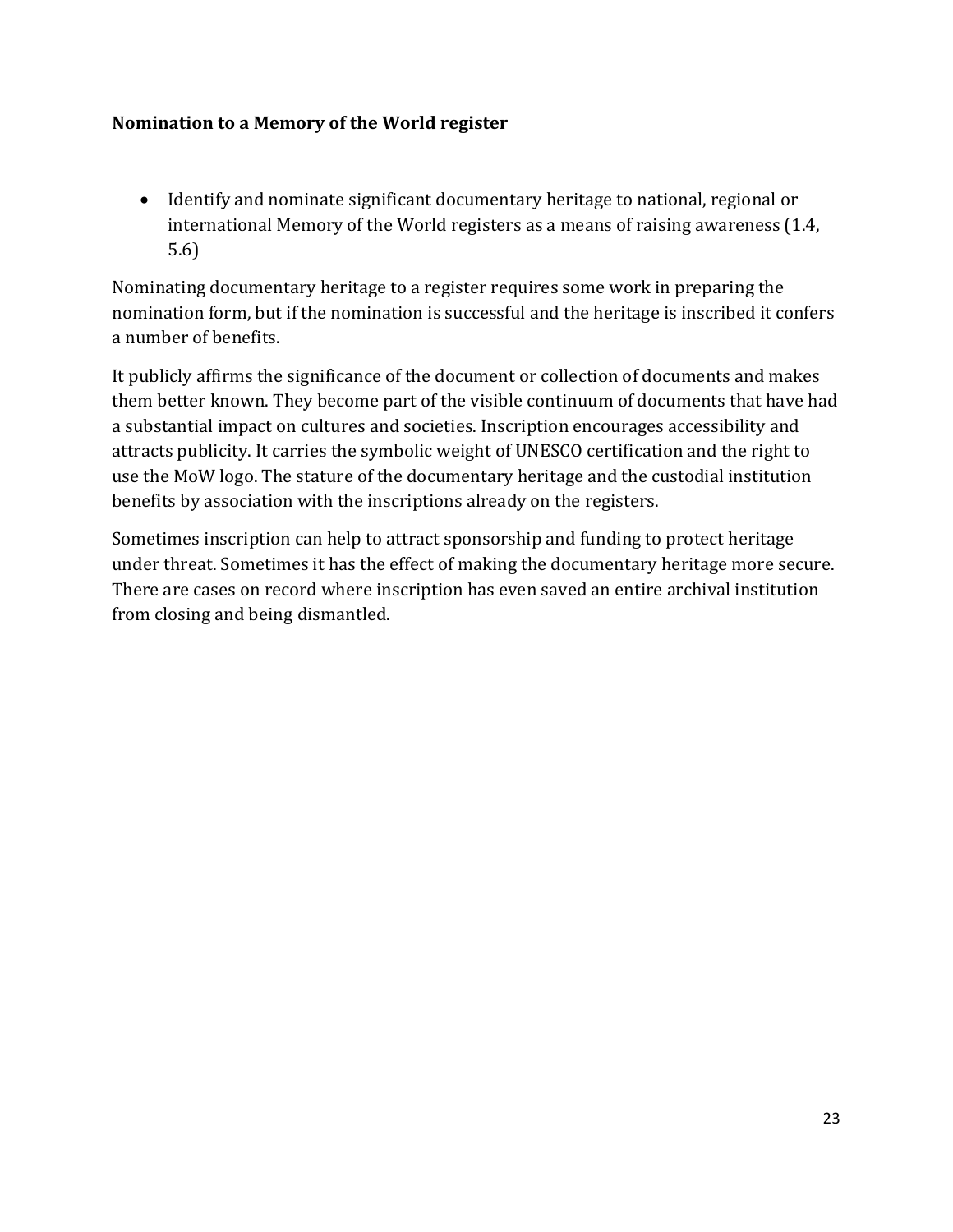#### **Nomination to a Memory of the World register**

• Identify and nominate significant documentary heritage to national, regional or international Memory of the World registers as a means of raising awareness (1.4, 5.6)

Nominating documentary heritage to a register requires some work in preparing the nomination form, but if the nomination is successful and the heritage is inscribed it confers a number of benefits.

It publicly affirms the significance of the document or collection of documents and makes them better known. They become part of the visible continuum of documents that have had a substantial impact on cultures and societies. Inscription encourages accessibility and attracts publicity. It carries the symbolic weight of UNESCO certification and the right to use the MoW logo. The stature of the documentary heritage and the custodial institution benefits by association with the inscriptions already on the registers.

Sometimes inscription can help to attract sponsorship and funding to protect heritage under threat. Sometimes it has the effect of making the documentary heritage more secure. There are cases on record where inscription has even saved an entire archival institution from closing and being dismantled.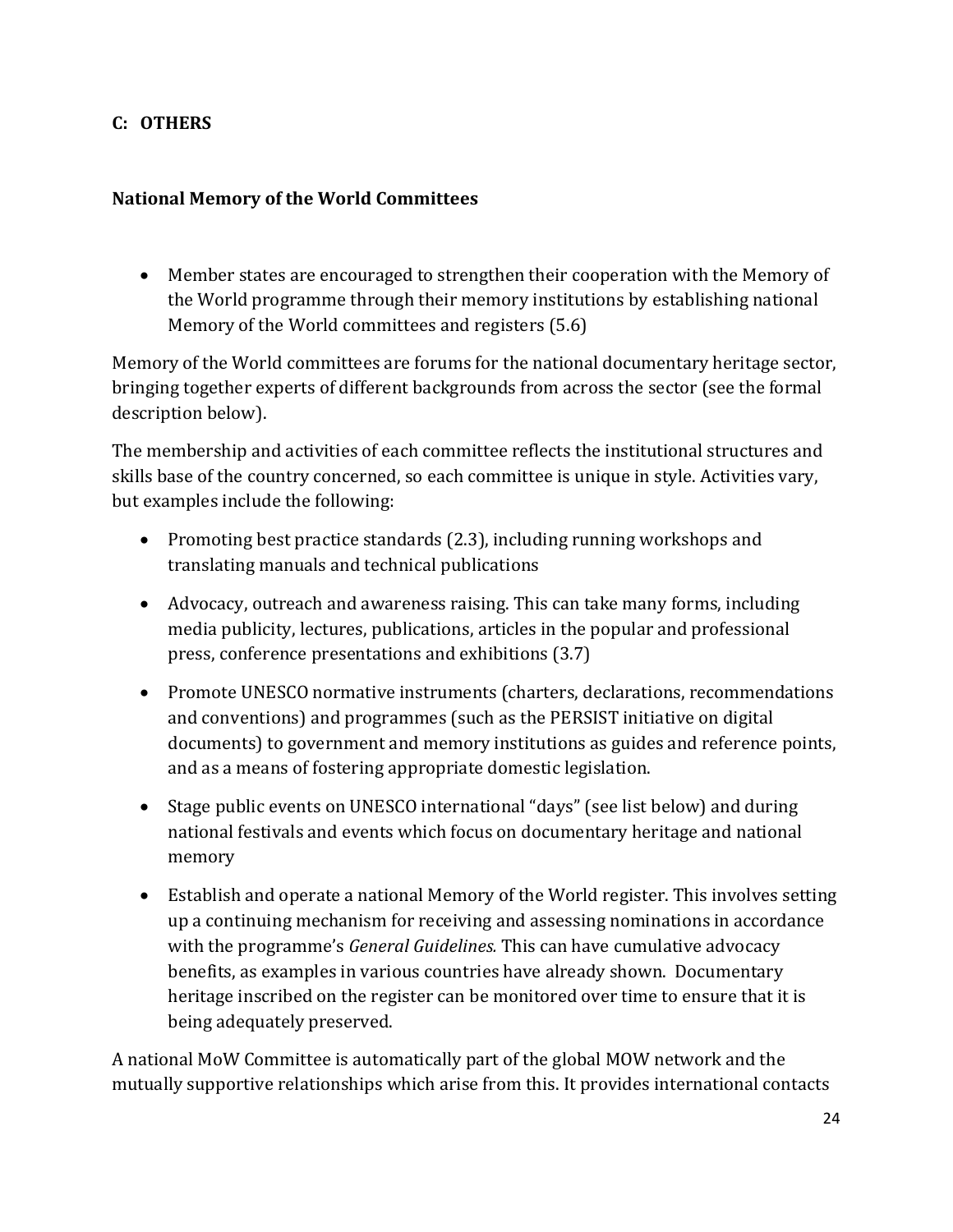### **C: OTHERS**

### **National Memory of the World Committees**

• Member states are encouraged to strengthen their cooperation with the Memory of the World programme through their memory institutions by establishing national Memory of the World committees and registers (5.6)

Memory of the World committees are forums for the national documentary heritage sector, bringing together experts of different backgrounds from across the sector (see the formal description below).

The membership and activities of each committee reflects the institutional structures and skills base of the country concerned, so each committee is unique in style. Activities vary, but examples include the following:

- Promoting best practice standards (2.3), including running workshops and translating manuals and technical publications
- Advocacy, outreach and awareness raising. This can take many forms, including media publicity, lectures, publications, articles in the popular and professional press, conference presentations and exhibitions (3.7)
- Promote UNESCO normative instruments (charters, declarations, recommendations and conventions) and programmes (such as the PERSIST initiative on digital documents) to government and memory institutions as guides and reference points, and as a means of fostering appropriate domestic legislation.
- Stage public events on UNESCO international "days" (see list below) and during national festivals and events which focus on documentary heritage and national memory
- Establish and operate a national Memory of the World register. This involves setting up a continuing mechanism for receiving and assessing nominations in accordance with the programme's *General Guidelines.* This can have cumulative advocacy benefits, as examples in various countries have already shown. Documentary heritage inscribed on the register can be monitored over time to ensure that it is being adequately preserved.

A national MoW Committee is automatically part of the global MOW network and the mutually supportive relationships which arise from this. It provides international contacts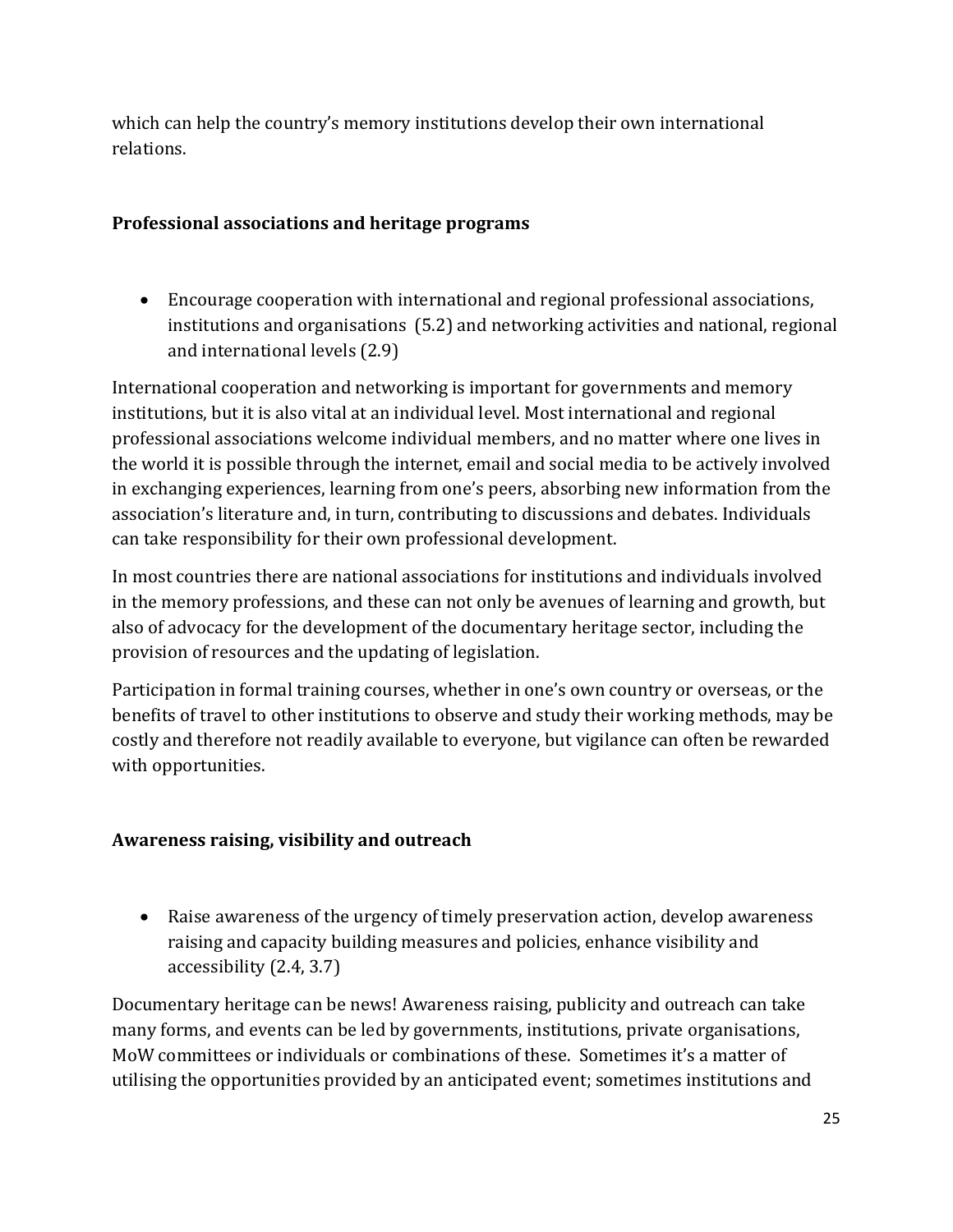which can help the country's memory institutions develop their own international relations.

### **Professional associations and heritage programs**

• Encourage cooperation with international and regional professional associations, institutions and organisations (5.2) and networking activities and national, regional and international levels (2.9)

International cooperation and networking is important for governments and memory institutions, but it is also vital at an individual level. Most international and regional professional associations welcome individual members, and no matter where one lives in the world it is possible through the internet, email and social media to be actively involved in exchanging experiences, learning from one's peers, absorbing new information from the association's literature and, in turn, contributing to discussions and debates. Individuals can take responsibility for their own professional development.

In most countries there are national associations for institutions and individuals involved in the memory professions, and these can not only be avenues of learning and growth, but also of advocacy for the development of the documentary heritage sector, including the provision of resources and the updating of legislation.

Participation in formal training courses, whether in one's own country or overseas, or the benefits of travel to other institutions to observe and study their working methods, may be costly and therefore not readily available to everyone, but vigilance can often be rewarded with opportunities.

### **Awareness raising, visibility and outreach**

• Raise awareness of the urgency of timely preservation action, develop awareness raising and capacity building measures and policies, enhance visibility and accessibility (2.4, 3.7)

Documentary heritage can be news! Awareness raising, publicity and outreach can take many forms, and events can be led by governments, institutions, private organisations, MoW committees or individuals or combinations of these. Sometimes it's a matter of utilising the opportunities provided by an anticipated event; sometimes institutions and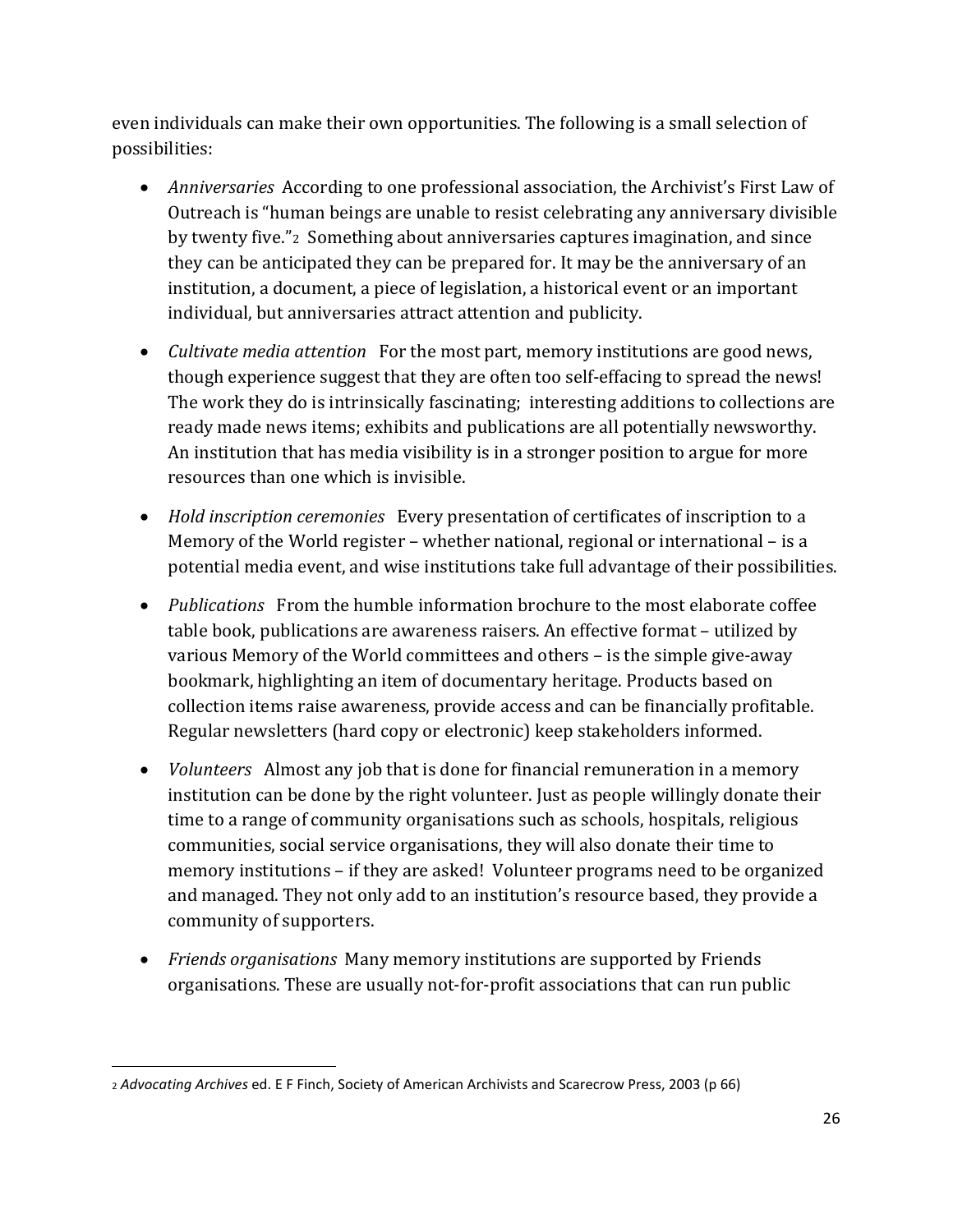even individuals can make their own opportunities. The following is a small selection of possibilities:

- *Anniversaries* According to one professional association, the Archivist's First Law of Outreach is "human beings are unable to resist celebrating any anniversary divisible by twenty five."[2](#page-26-0) Something about anniversaries captures imagination, and since they can be anticipated they can be prepared for. It may be the anniversary of an institution, a document, a piece of legislation, a historical event or an important individual, but anniversaries attract attention and publicity.
- *Cultivate media attention* For the most part, memory institutions are good news, though experience suggest that they are often too self-effacing to spread the news! The work they do is intrinsically fascinating; interesting additions to collections are ready made news items; exhibits and publications are all potentially newsworthy. An institution that has media visibility is in a stronger position to argue for more resources than one which is invisible.
- *Hold inscription ceremonies* Every presentation of certificates of inscription to a Memory of the World register – whether national, regional or international – is a potential media event, and wise institutions take full advantage of their possibilities.
- *Publications* From the humble information brochure to the most elaborate coffee table book, publications are awareness raisers. An effective format – utilized by various Memory of the World committees and others – is the simple give-away bookmark, highlighting an item of documentary heritage. Products based on collection items raise awareness, provide access and can be financially profitable. Regular newsletters (hard copy or electronic) keep stakeholders informed.
- *Volunteers* Almost any job that is done for financial remuneration in a memory institution can be done by the right volunteer. Just as people willingly donate their time to a range of community organisations such as schools, hospitals, religious communities, social service organisations, they will also donate their time to memory institutions – if they are asked! Volunteer programs need to be organized and managed. They not only add to an institution's resource based, they provide a community of supporters.
- *Friends organisations* Many memory institutions are supported by Friends organisations. These are usually not-for-profit associations that can run public

 $\overline{\phantom{a}}$ 

<span id="page-26-0"></span><sup>2</sup> *Advocating Archives* ed. E F Finch, Society of American Archivists and Scarecrow Press, 2003 (p 66)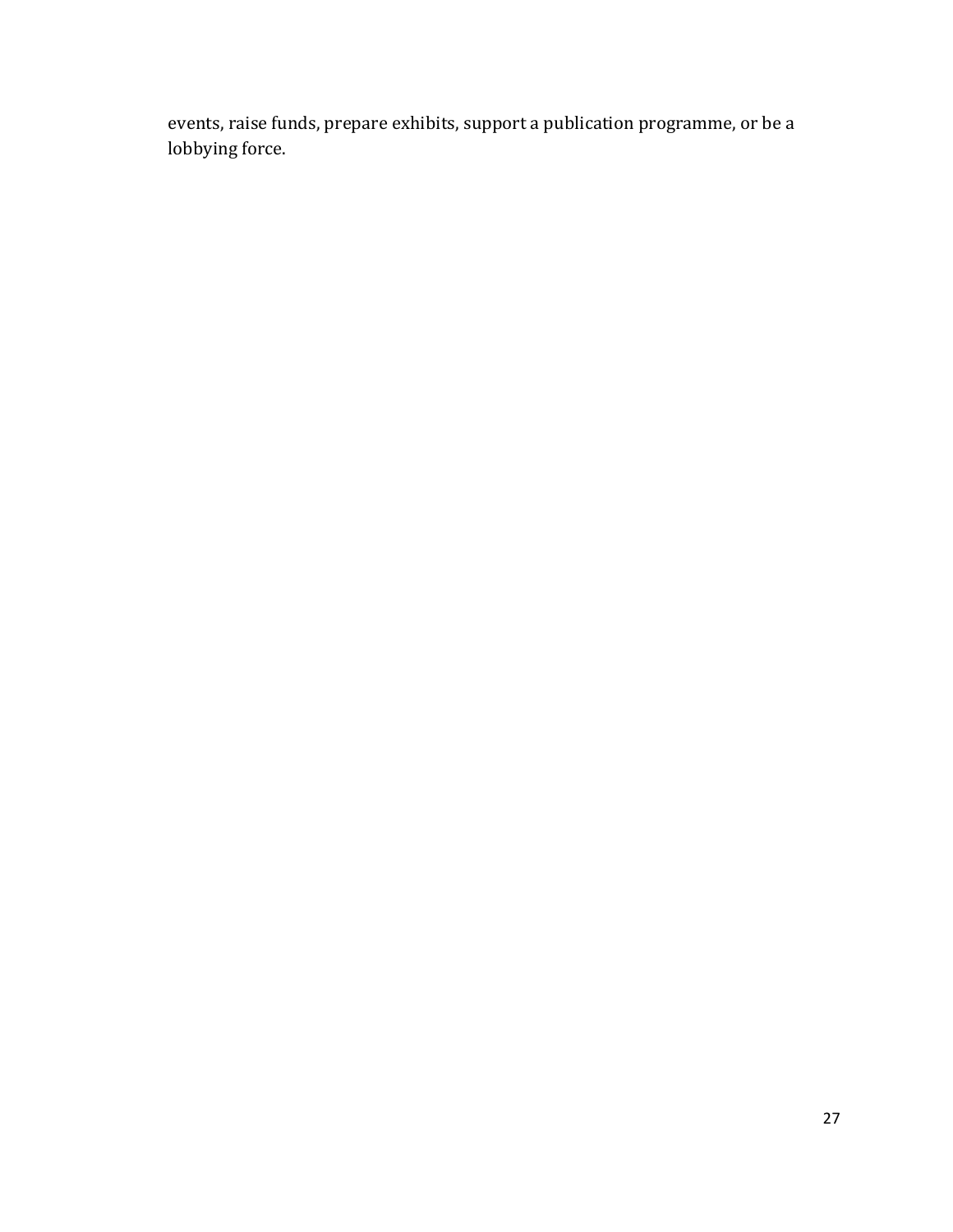events, raise funds, prepare exhibits, support a publication programme, or be a lobbying force.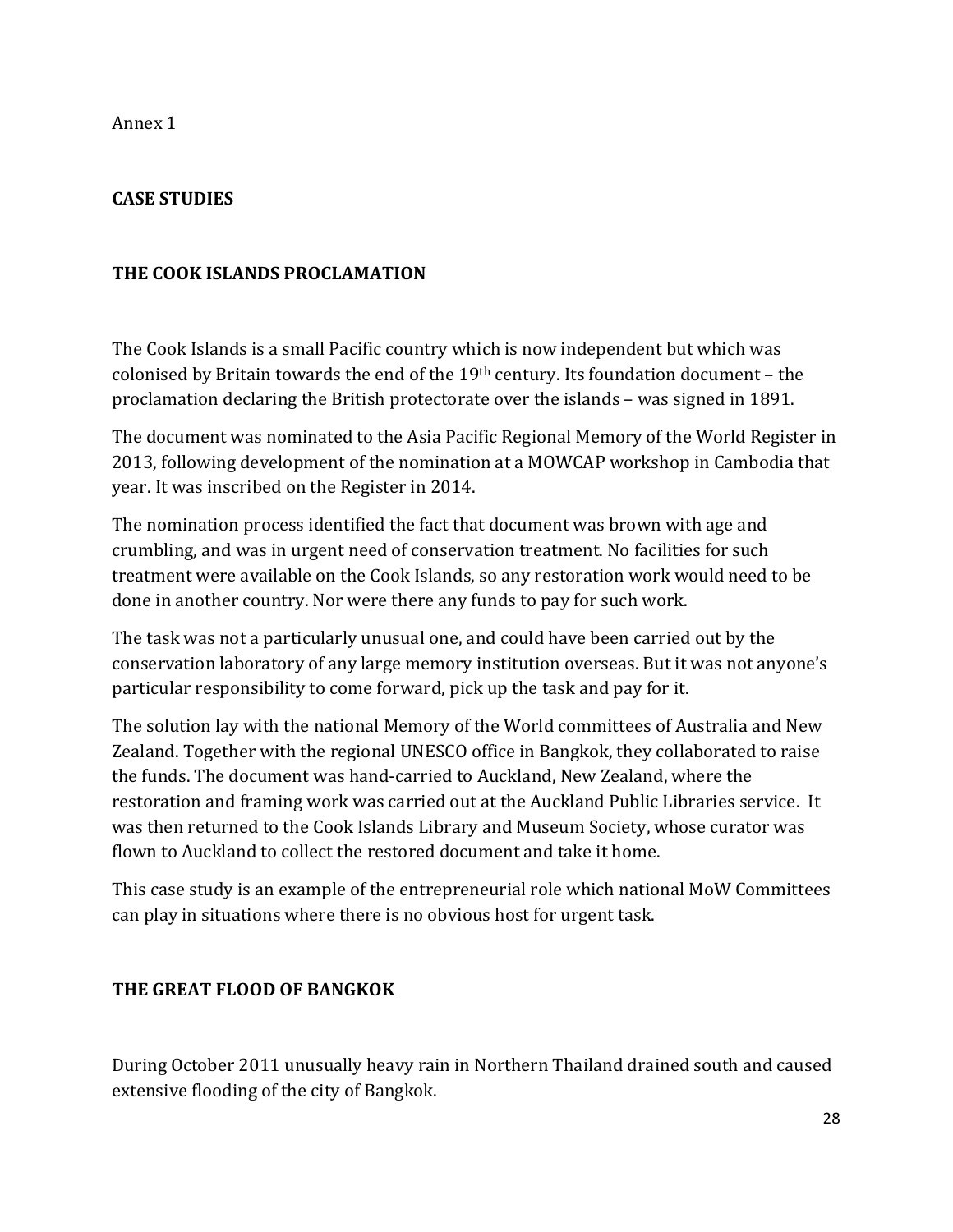### **CASE STUDIES**

### **THE COOK ISLANDS PROCLAMATION**

The Cook Islands is a small Pacific country which is now independent but which was colonised by Britain towards the end of the 19<sup>th</sup> century. Its foundation document - the proclamation declaring the British protectorate over the islands – was signed in 1891.

The document was nominated to the Asia Pacific Regional Memory of the World Register in 2013, following development of the nomination at a MOWCAP workshop in Cambodia that year. It was inscribed on the Register in 2014.

The nomination process identified the fact that document was brown with age and crumbling, and was in urgent need of conservation treatment. No facilities for such treatment were available on the Cook Islands, so any restoration work would need to be done in another country. Nor were there any funds to pay for such work.

The task was not a particularly unusual one, and could have been carried out by the conservation laboratory of any large memory institution overseas. But it was not anyone's particular responsibility to come forward, pick up the task and pay for it.

The solution lay with the national Memory of the World committees of Australia and New Zealand. Together with the regional UNESCO office in Bangkok, they collaborated to raise the funds. The document was hand-carried to Auckland, New Zealand, where the restoration and framing work was carried out at the Auckland Public Libraries service. It was then returned to the Cook Islands Library and Museum Society, whose curator was flown to Auckland to collect the restored document and take it home.

This case study is an example of the entrepreneurial role which national MoW Committees can play in situations where there is no obvious host for urgent task.

### **THE GREAT FLOOD OF BANGKOK**

During October 2011 unusually heavy rain in Northern Thailand drained south and caused extensive flooding of the city of Bangkok.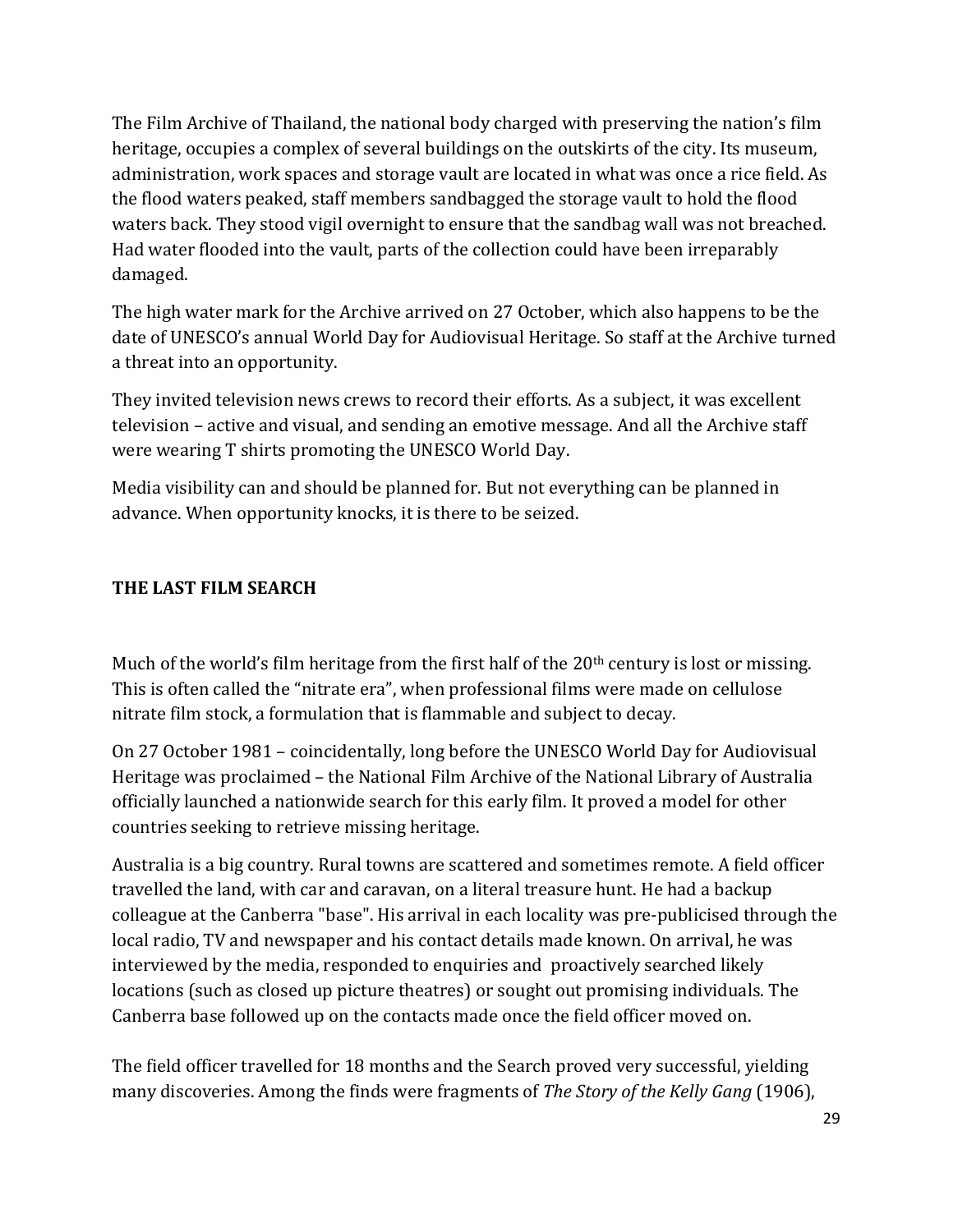The Film Archive of Thailand, the national body charged with preserving the nation's film heritage, occupies a complex of several buildings on the outskirts of the city. Its museum, administration, work spaces and storage vault are located in what was once a rice field. As the flood waters peaked, staff members sandbagged the storage vault to hold the flood waters back. They stood vigil overnight to ensure that the sandbag wall was not breached. Had water flooded into the vault, parts of the collection could have been irreparably damaged.

The high water mark for the Archive arrived on 27 October, which also happens to be the date of UNESCO's annual World Day for Audiovisual Heritage. So staff at the Archive turned a threat into an opportunity.

They invited television news crews to record their efforts. As a subject, it was excellent television – active and visual, and sending an emotive message. And all the Archive staff were wearing T shirts promoting the UNESCO World Day.

Media visibility can and should be planned for. But not everything can be planned in advance. When opportunity knocks, it is there to be seized.

### **THE LAST FILM SEARCH**

Much of the world's film heritage from the first half of the  $20<sup>th</sup>$  century is lost or missing. This is often called the "nitrate era", when professional films were made on cellulose nitrate film stock, a formulation that is flammable and subject to decay.

On 27 October 1981 – coincidentally, long before the UNESCO World Day for Audiovisual Heritage was proclaimed – the National Film Archive of the National Library of Australia officially launched a nationwide search for this early film. It proved a model for other countries seeking to retrieve missing heritage.

Australia is a big country. Rural towns are scattered and sometimes remote. A field officer travelled the land, with car and caravan, on a literal treasure hunt. He had a backup colleague at the Canberra "base". His arrival in each locality was pre-publicised through the local radio, TV and newspaper and his contact details made known. On arrival, he was interviewed by the media, responded to enquiries and proactively searched likely locations (such as closed up picture theatres) or sought out promising individuals. The Canberra base followed up on the contacts made once the field officer moved on.

The field officer travelled for 18 months and the Search proved very successful, yielding many discoveries. Among the finds were fragments of *The Story of the Kelly Gang* (1906),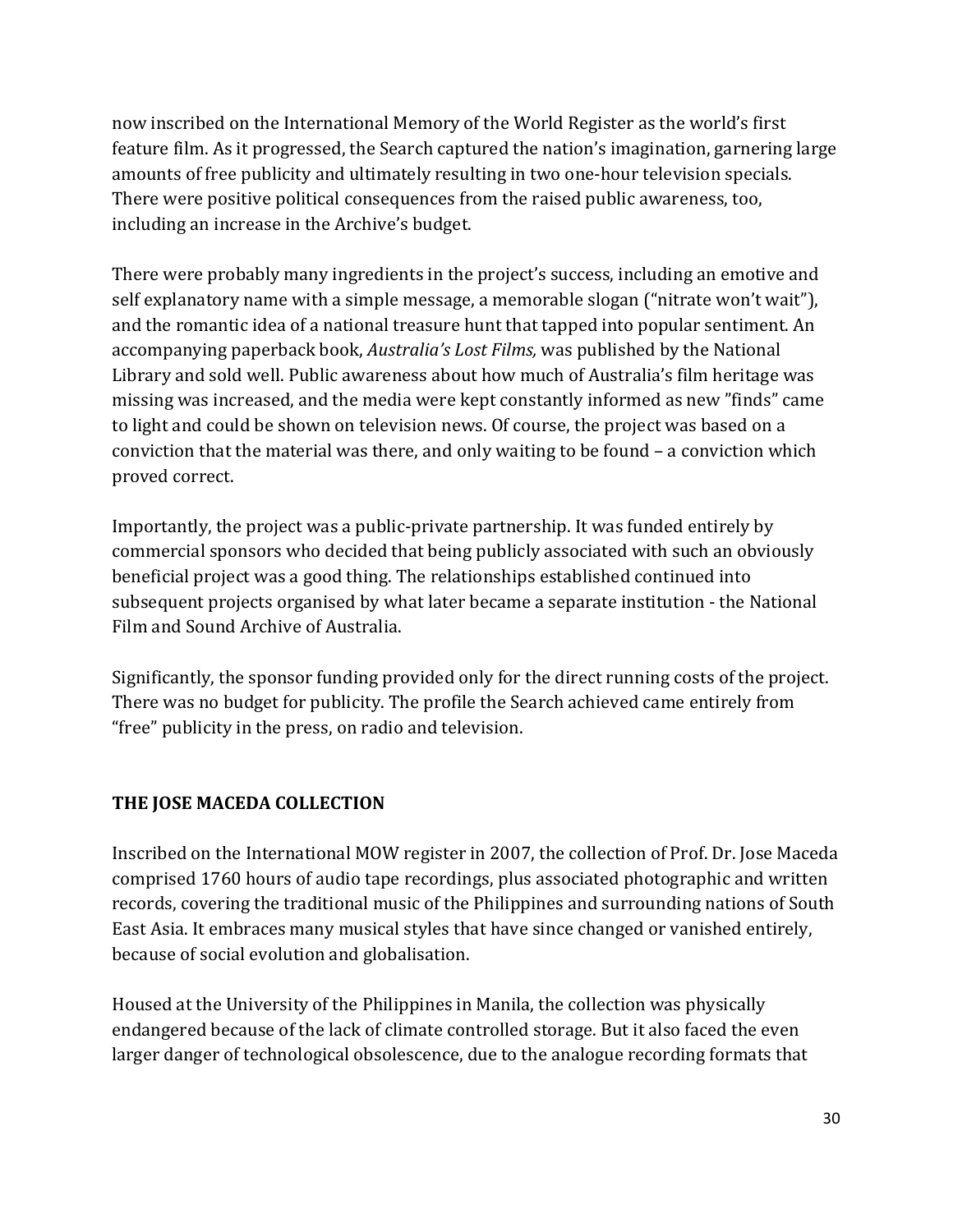now inscribed on the International Memory of the World Register as the world's first feature film. As it progressed, the Search captured the nation's imagination, garnering large amounts of free publicity and ultimately resulting in two one-hour television specials. There were positive political consequences from the raised public awareness, too, including an increase in the Archive's budget.

There were probably many ingredients in the project's success, including an emotive and self explanatory name with a simple message, a memorable slogan ("nitrate won't wait"), and the romantic idea of a national treasure hunt that tapped into popular sentiment. An accompanying paperback book, *Australia's Lost Films,* was published by the National Library and sold well. Public awareness about how much of Australia's film heritage was missing was increased, and the media were kept constantly informed as new "finds" came to light and could be shown on television news. Of course, the project was based on a conviction that the material was there, and only waiting to be found – a conviction which proved correct.

Importantly, the project was a public-private partnership. It was funded entirely by commercial sponsors who decided that being publicly associated with such an obviously beneficial project was a good thing. The relationships established continued into subsequent projects organised by what later became a separate institution - the National Film and Sound Archive of Australia.

Significantly, the sponsor funding provided only for the direct running costs of the project. There was no budget for publicity. The profile the Search achieved came entirely from "free" publicity in the press, on radio and television.

### **THE JOSE MACEDA COLLECTION**

Inscribed on the International MOW register in 2007, the collection of Prof. Dr. Jose Maceda comprised 1760 hours of audio tape recordings, plus associated photographic and written records, covering the traditional music of the Philippines and surrounding nations of South East Asia. It embraces many musical styles that have since changed or vanished entirely, because of social evolution and globalisation.

Housed at the University of the Philippines in Manila, the collection was physically endangered because of the lack of climate controlled storage. But it also faced the even larger danger of technological obsolescence, due to the analogue recording formats that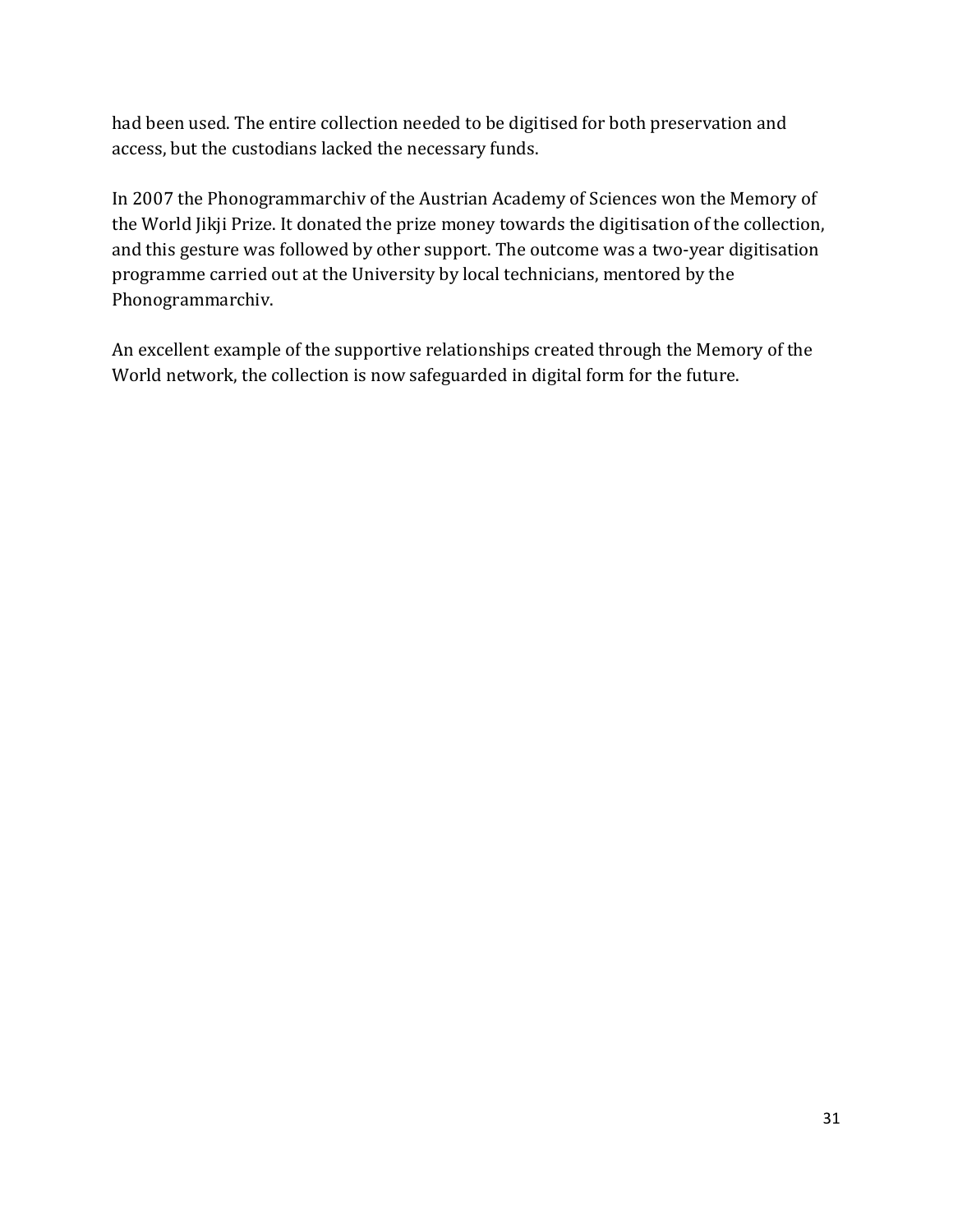had been used. The entire collection needed to be digitised for both preservation and access, but the custodians lacked the necessary funds.

In 2007 the Phonogrammarchiv of the Austrian Academy of Sciences won the Memory of the World Jikji Prize. It donated the prize money towards the digitisation of the collection, and this gesture was followed by other support. The outcome was a two-year digitisation programme carried out at the University by local technicians, mentored by the Phonogrammarchiv.

An excellent example of the supportive relationships created through the Memory of the World network, the collection is now safeguarded in digital form for the future.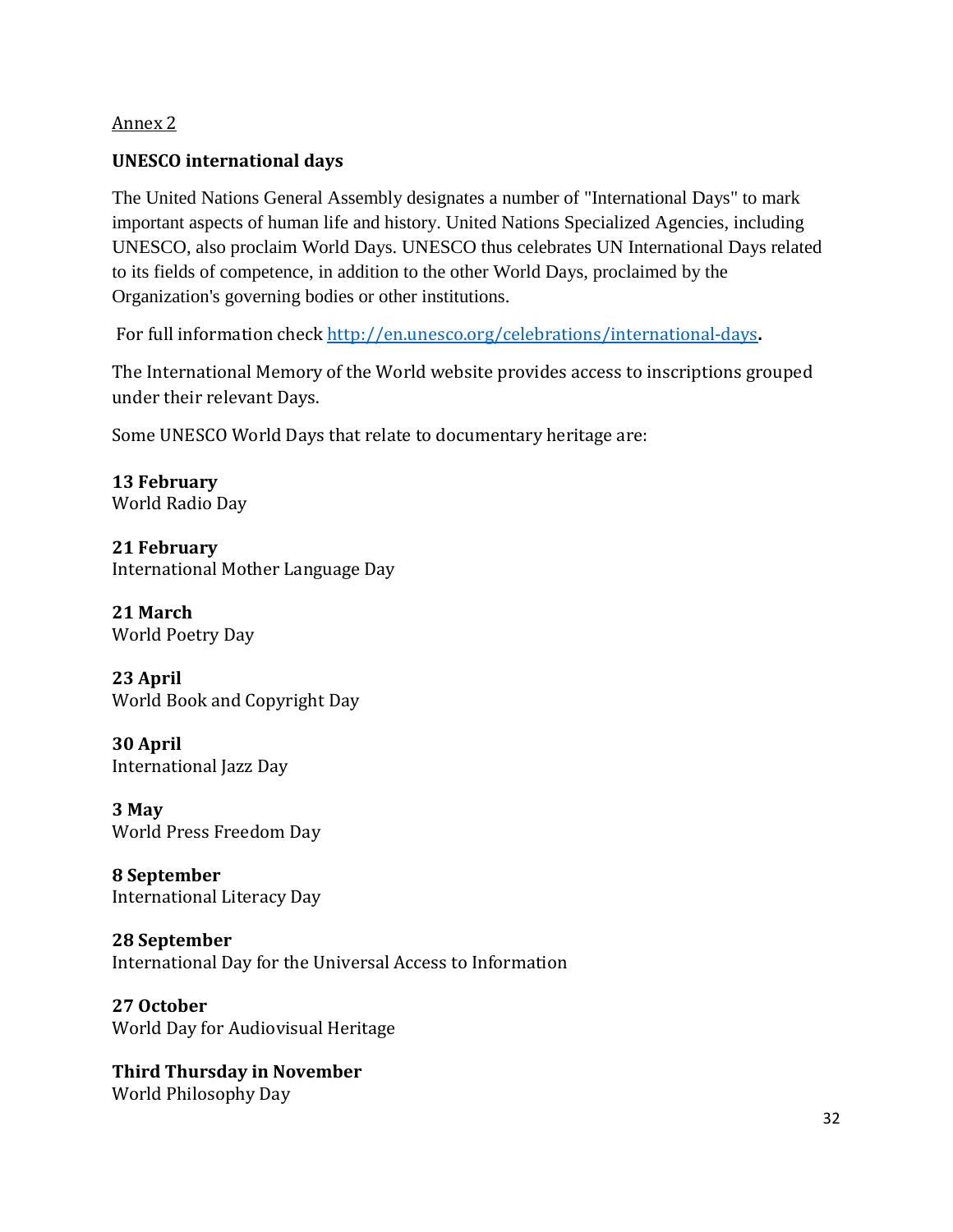#### **UNESCO international days**

The United Nations General Assembly designates a number of "International Days" to mark important aspects of human life and history. United Nations Specialized Agencies, including UNESCO, also proclaim World Days. UNESCO thus celebrates UN International Days related to its fields of competence, in addition to the other World Days, proclaimed by the Organization's governing bodies or other institutions.

For full information check<http://en.unesco.org/celebrations/international-days>**.** 

The International Memory of the World website provides access to inscriptions grouped under their relevant Days.

Some UNESCO World Days that relate to documentary heritage are:

**13 February** [World Radio Day](http://www.unesco.org/new/en/communication-and-information/events/prizes-and-celebrations/celebrations/world-radio-day/)

**21 February** [International Mother Language Day](http://www.unesco.org/new/en/international-mother-language-day/)

**21 March** [World Poetry Day](http://www.unesco.org/new/en/unesco/events/prizes-and-celebrations/celebrations/international-days/world-poetry-day/)

**23 April** [World Book and Copyright Day](http://www.unesco.org/new/en/unesco/events/prizes-and-celebrations/celebrations/international-days/world-book-and-copyright-day-2016/)

**30 April** [International Jazz Day](http://www.unesco.org/new/en/jazz-day)

**3 May** [World Press Freedom Day](http://en.unesco.org/world-press-freedom-day-2016)

**8 September** [International Literacy Day](http://www.unesco.org/new/en/unesco/events/prizes-and-celebrations/celebrations/international-days/literacy-day/)

**28 September** [International Day for the Universal Access to Information](http://en.unesco.org/iduai2016)

**27 October** [World Day for Audiovisual Heritage](http://en.unesco.org/wdah2016)

**Third Thursday in November** [World Philosophy Day](http://www.unesco.org/new/en/unesco/events/prizes-and-celebrations/celebrations/international-days/world-philosophy-day-2016/)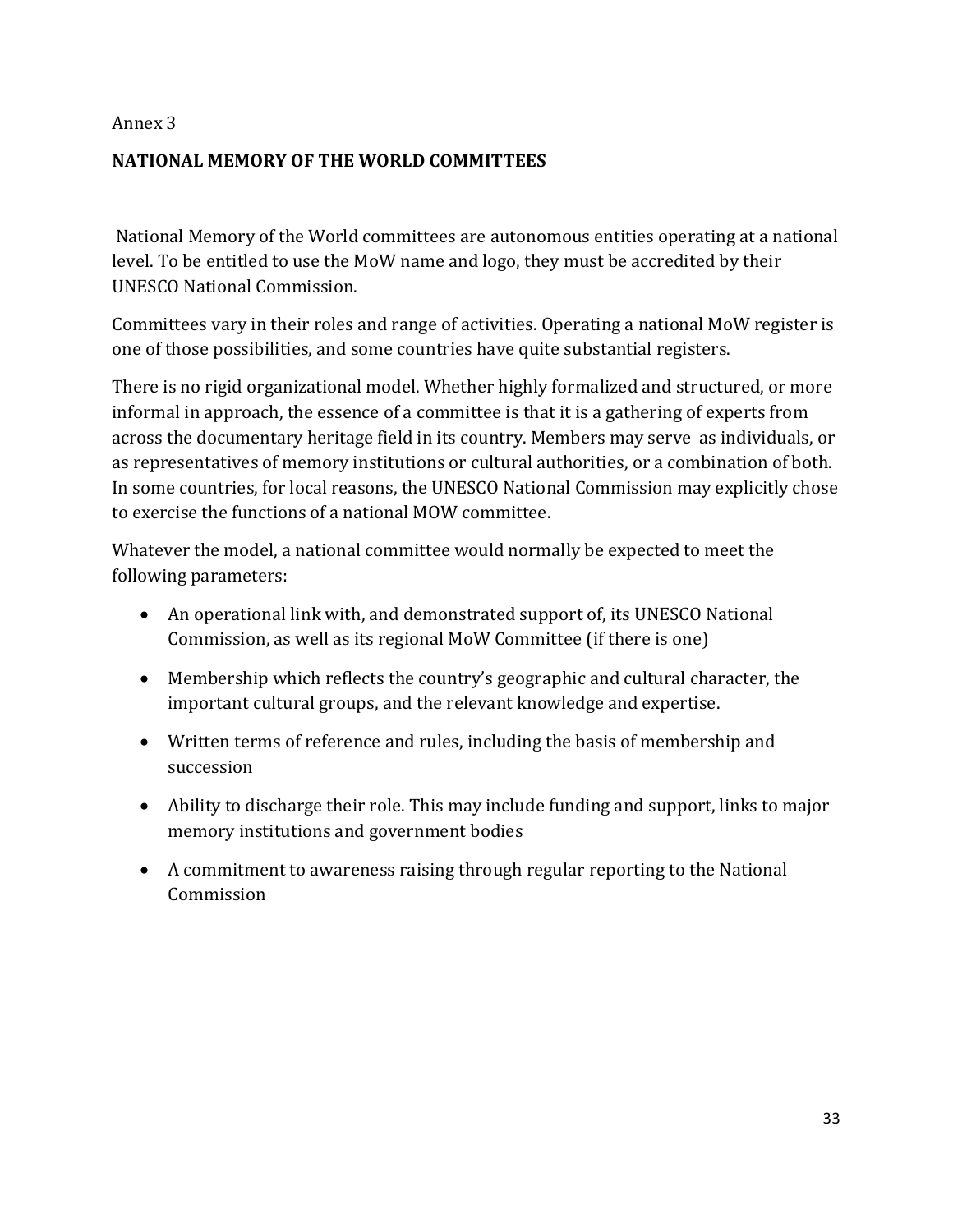#### **NATIONAL MEMORY OF THE WORLD COMMITTEES**

National Memory of the World committees are autonomous entities operating at a national level. To be entitled to use the MoW name and logo, they must be accredited by their UNESCO National Commission.

Committees vary in their roles and range of activities. Operating a national MoW register is one of those possibilities, and some countries have quite substantial registers.

There is no rigid organizational model. Whether highly formalized and structured, or more informal in approach, the essence of a committee is that it is a gathering of experts from across the documentary heritage field in its country. Members may serve as individuals, or as representatives of memory institutions or cultural authorities, or a combination of both. In some countries, for local reasons, the UNESCO National Commission may explicitly chose to exercise the functions of a national MOW committee.

Whatever the model, a national committee would normally be expected to meet the following parameters:

- An operational link with, and demonstrated support of, its UNESCO National Commission, as well as its regional MoW Committee (if there is one)
- Membership which reflects the country's geographic and cultural character, the important cultural groups, and the relevant knowledge and expertise.
- Written terms of reference and rules, including the basis of membership and succession
- Ability to discharge their role. This may include funding and support, links to major memory institutions and government bodies
- A commitment to awareness raising through regular reporting to the National Commission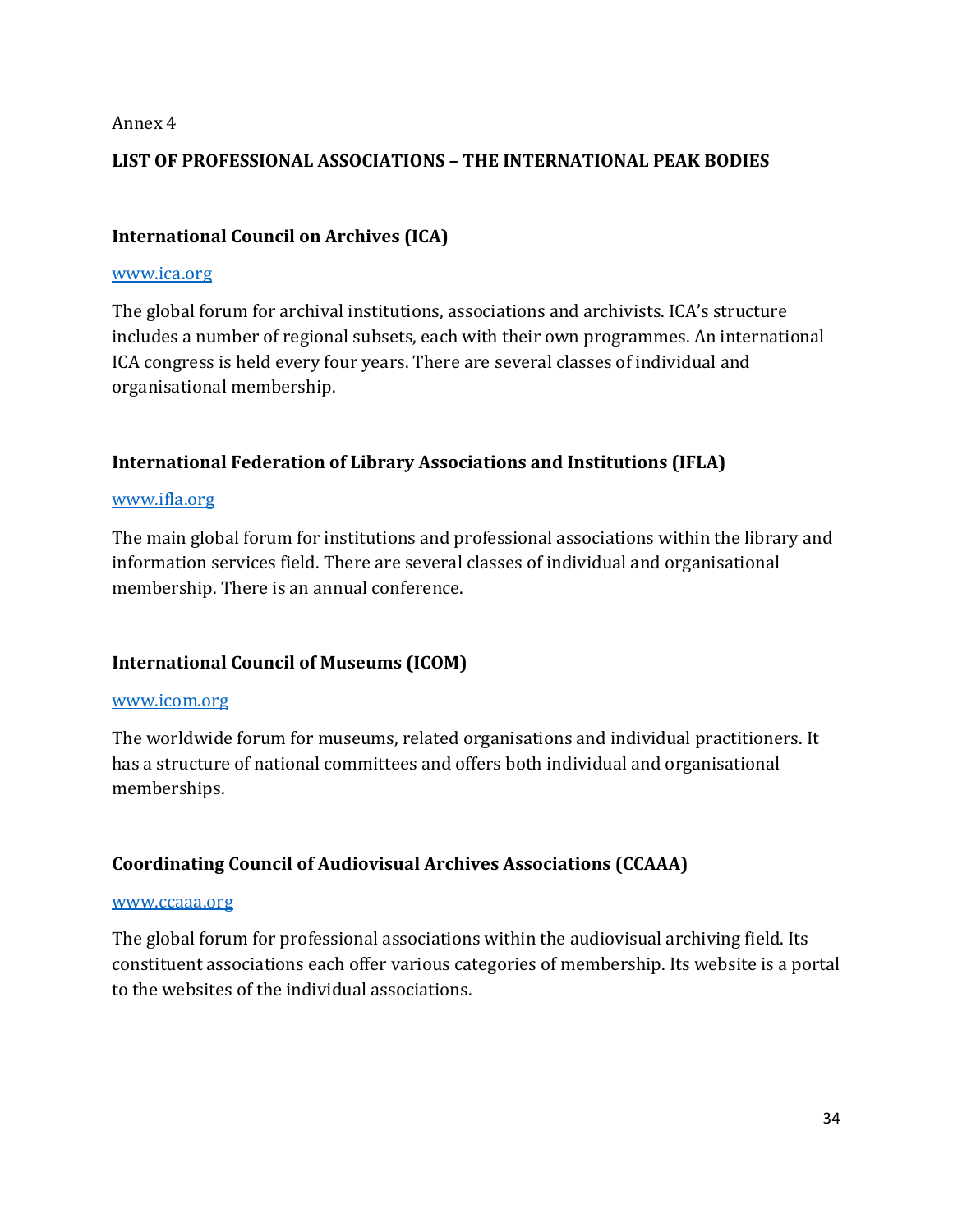#### **LIST OF PROFESSIONAL ASSOCIATIONS – THE INTERNATIONAL PEAK BODIES**

#### **International Council on Archives (ICA)**

#### [www.ica.org](http://www.ica.org/)

The global forum for archival institutions, associations and archivists. ICA's structure includes a number of regional subsets, each with their own programmes. An international ICA congress is held every four years. There are several classes of individual and organisational membership.

#### **International Federation of Library Associations and Institutions (IFLA)**

#### [www.ifla.org](http://www.ifla.org/)

The main global forum for institutions and professional associations within the library and information services field. There are several classes of individual and organisational membership. There is an annual conference.

#### **International Council of Museums (ICOM)**

#### [www.icom.org](http://www.icom.org/)

The worldwide forum for museums, related organisations and individual practitioners. It has a structure of national committees and offers both individual and organisational memberships.

#### **Coordinating Council of Audiovisual Archives Associations (CCAAA)**

#### [www.ccaaa.org](http://www.ccaaa.org/)

The global forum for professional associations within the audiovisual archiving field. Its constituent associations each offer various categories of membership. Its website is a portal to the websites of the individual associations.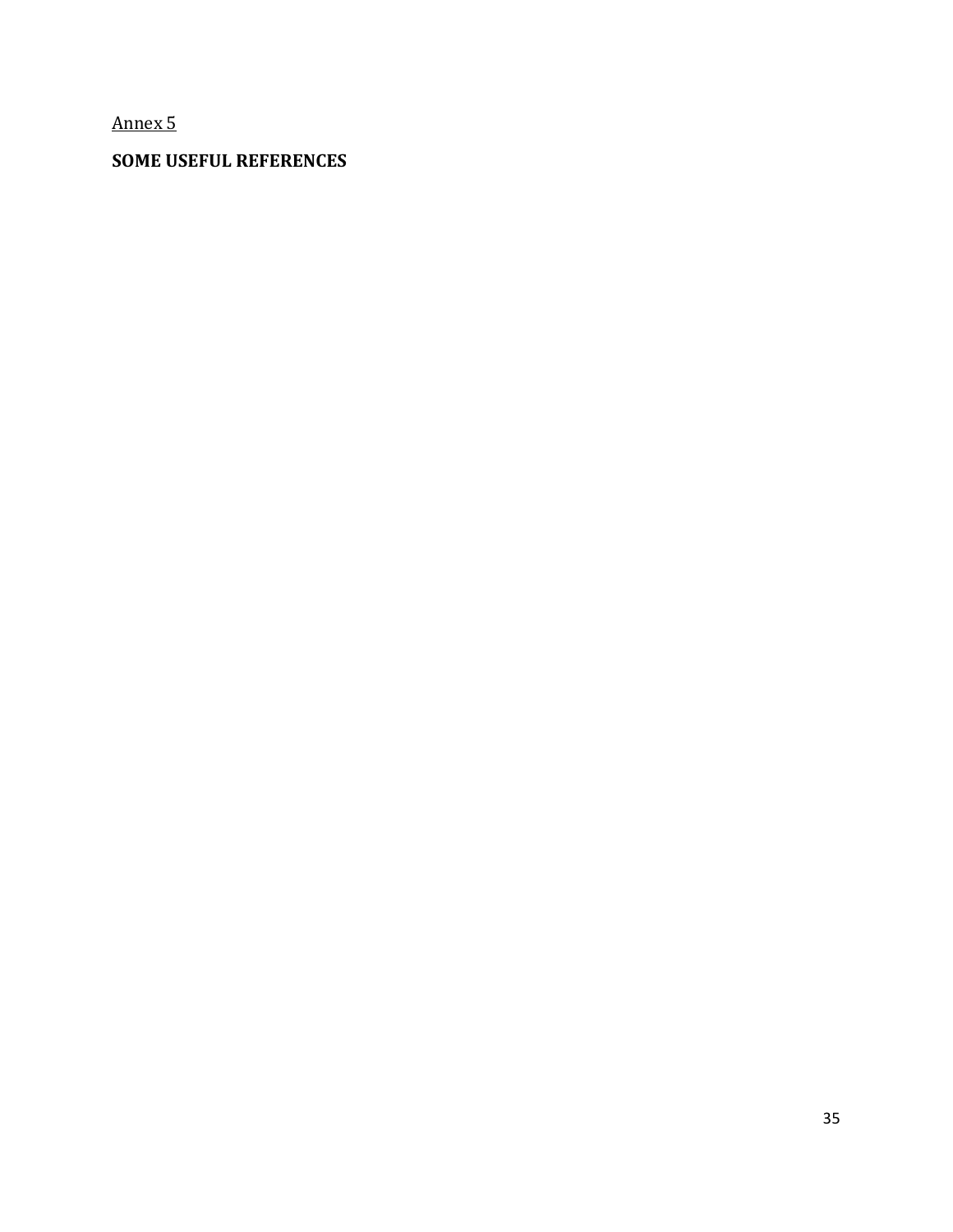### **SOME USEFUL REFERENCES**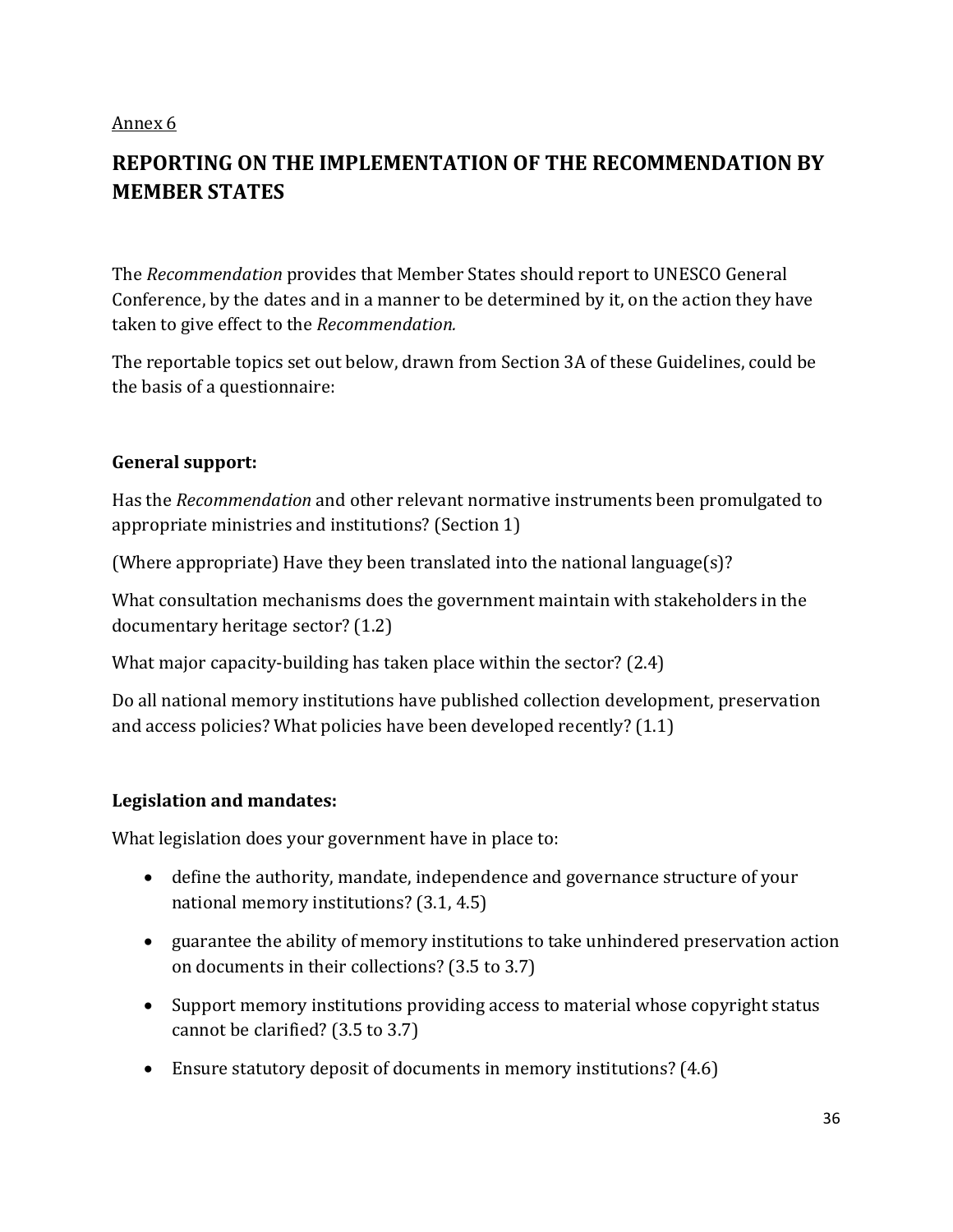## **REPORTING ON THE IMPLEMENTATION OF THE RECOMMENDATION BY MEMBER STATES**

The *Recommendation* provides that Member States should report to UNESCO General Conference, by the dates and in a manner to be determined by it, on the action they have taken to give effect to the *Recommendation.*

The reportable topics set out below, drawn from Section 3A of these Guidelines, could be the basis of a questionnaire:

#### **General support:**

Has the *Recommendation* and other relevant normative instruments been promulgated to appropriate ministries and institutions? (Section 1)

(Where appropriate) Have they been translated into the national language(s)?

What consultation mechanisms does the government maintain with stakeholders in the documentary heritage sector? (1.2)

What major capacity-building has taken place within the sector? (2.4)

Do all national memory institutions have published collection development, preservation and access policies? What policies have been developed recently? (1.1)

#### **Legislation and mandates:**

What legislation does your government have in place to:

- define the authority, mandate, independence and governance structure of your national memory institutions? (3.1, 4.5)
- guarantee the ability of memory institutions to take unhindered preservation action on documents in their collections? (3.5 to 3.7)
- Support memory institutions providing access to material whose copyright status cannot be clarified? (3.5 to 3.7)
- Ensure statutory deposit of documents in memory institutions? (4.6)